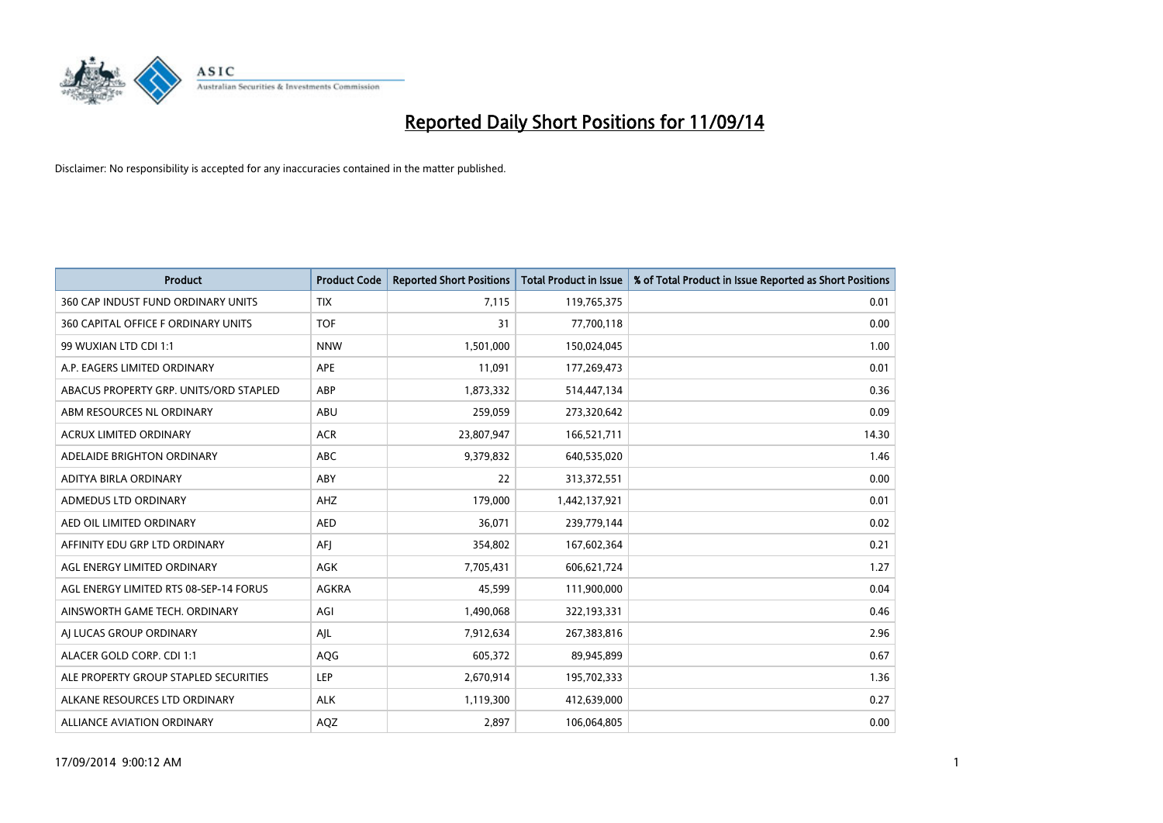

| <b>Product</b>                         | <b>Product Code</b> | <b>Reported Short Positions</b> | <b>Total Product in Issue</b> | % of Total Product in Issue Reported as Short Positions |
|----------------------------------------|---------------------|---------------------------------|-------------------------------|---------------------------------------------------------|
| 360 CAP INDUST FUND ORDINARY UNITS     | <b>TIX</b>          | 7,115                           | 119,765,375                   | 0.01                                                    |
| 360 CAPITAL OFFICE F ORDINARY UNITS    | <b>TOF</b>          | 31                              | 77,700,118                    | 0.00                                                    |
| 99 WUXIAN LTD CDI 1:1                  | <b>NNW</b>          | 1,501,000                       | 150,024,045                   | 1.00                                                    |
| A.P. EAGERS LIMITED ORDINARY           | APE                 | 11,091                          | 177,269,473                   | 0.01                                                    |
| ABACUS PROPERTY GRP. UNITS/ORD STAPLED | ABP                 | 1,873,332                       | 514,447,134                   | 0.36                                                    |
| ABM RESOURCES NL ORDINARY              | ABU                 | 259,059                         | 273,320,642                   | 0.09                                                    |
| ACRUX LIMITED ORDINARY                 | <b>ACR</b>          | 23,807,947                      | 166,521,711                   | 14.30                                                   |
| ADELAIDE BRIGHTON ORDINARY             | ABC                 | 9,379,832                       | 640,535,020                   | 1.46                                                    |
| ADITYA BIRLA ORDINARY                  | ABY                 | 22                              | 313,372,551                   | 0.00                                                    |
| ADMEDUS LTD ORDINARY                   | AHZ                 | 179,000                         | 1,442,137,921                 | 0.01                                                    |
| AED OIL LIMITED ORDINARY               | <b>AED</b>          | 36,071                          | 239,779,144                   | 0.02                                                    |
| AFFINITY EDU GRP LTD ORDINARY          | AFI                 | 354,802                         | 167,602,364                   | 0.21                                                    |
| AGL ENERGY LIMITED ORDINARY            | <b>AGK</b>          | 7,705,431                       | 606,621,724                   | 1.27                                                    |
| AGL ENERGY LIMITED RTS 08-SEP-14 FORUS | AGKRA               | 45,599                          | 111,900,000                   | 0.04                                                    |
| AINSWORTH GAME TECH. ORDINARY          | AGI                 | 1,490,068                       | 322,193,331                   | 0.46                                                    |
| AI LUCAS GROUP ORDINARY                | AJL                 | 7,912,634                       | 267,383,816                   | 2.96                                                    |
| ALACER GOLD CORP. CDI 1:1              | AQG                 | 605,372                         | 89,945,899                    | 0.67                                                    |
| ALE PROPERTY GROUP STAPLED SECURITIES  | LEP                 | 2,670,914                       | 195,702,333                   | 1.36                                                    |
| ALKANE RESOURCES LTD ORDINARY          | <b>ALK</b>          | 1,119,300                       | 412,639,000                   | 0.27                                                    |
| ALLIANCE AVIATION ORDINARY             | AQZ                 | 2,897                           | 106,064,805                   | 0.00                                                    |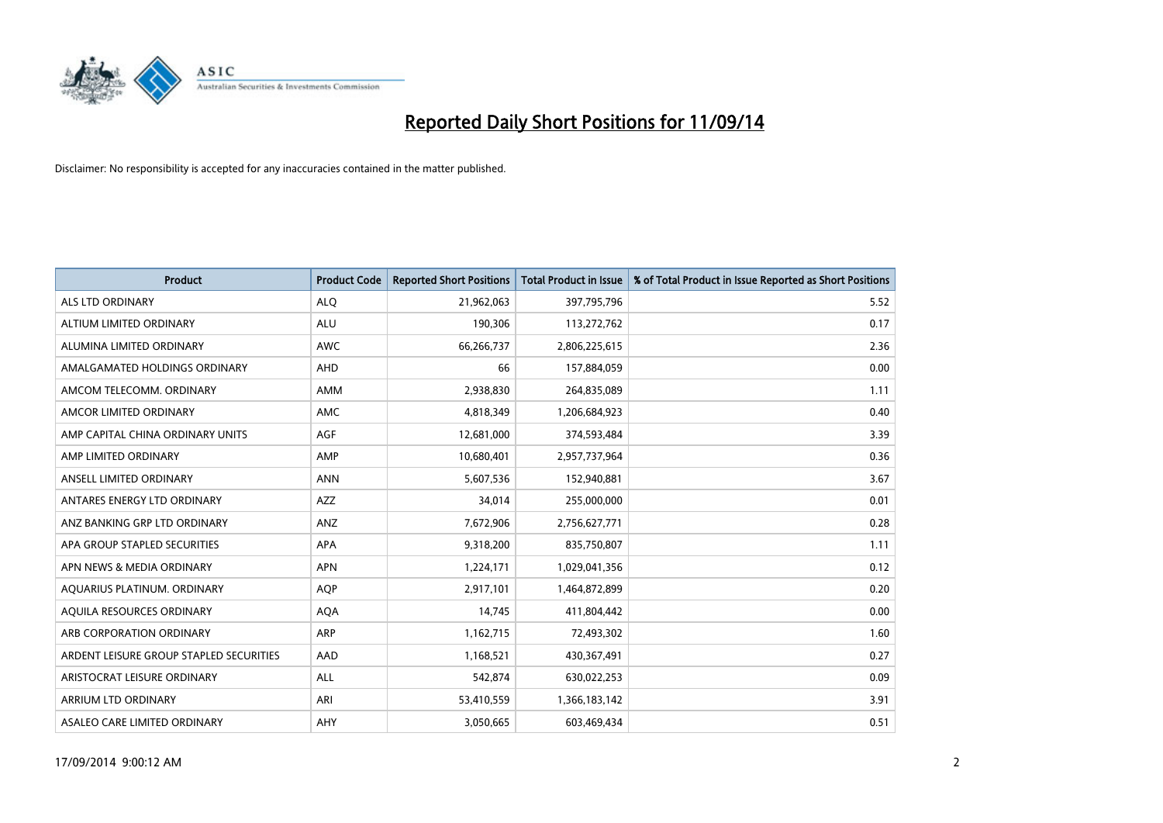

| <b>Product</b>                          | <b>Product Code</b> | <b>Reported Short Positions</b> | <b>Total Product in Issue</b> | % of Total Product in Issue Reported as Short Positions |
|-----------------------------------------|---------------------|---------------------------------|-------------------------------|---------------------------------------------------------|
| <b>ALS LTD ORDINARY</b>                 | <b>ALQ</b>          | 21,962,063                      | 397,795,796                   | 5.52                                                    |
| ALTIUM LIMITED ORDINARY                 | <b>ALU</b>          | 190,306                         | 113,272,762                   | 0.17                                                    |
| ALUMINA LIMITED ORDINARY                | <b>AWC</b>          | 66,266,737                      | 2,806,225,615                 | 2.36                                                    |
| AMALGAMATED HOLDINGS ORDINARY           | <b>AHD</b>          | 66                              | 157,884,059                   | 0.00                                                    |
| AMCOM TELECOMM, ORDINARY                | <b>AMM</b>          | 2,938,830                       | 264,835,089                   | 1.11                                                    |
| AMCOR LIMITED ORDINARY                  | <b>AMC</b>          | 4,818,349                       | 1,206,684,923                 | 0.40                                                    |
| AMP CAPITAL CHINA ORDINARY UNITS        | AGF                 | 12,681,000                      | 374,593,484                   | 3.39                                                    |
| AMP LIMITED ORDINARY                    | AMP                 | 10,680,401                      | 2,957,737,964                 | 0.36                                                    |
| ANSELL LIMITED ORDINARY                 | <b>ANN</b>          | 5,607,536                       | 152,940,881                   | 3.67                                                    |
| ANTARES ENERGY LTD ORDINARY             | <b>AZZ</b>          | 34,014                          | 255,000,000                   | 0.01                                                    |
| ANZ BANKING GRP LTD ORDINARY            | ANZ                 | 7,672,906                       | 2,756,627,771                 | 0.28                                                    |
| APA GROUP STAPLED SECURITIES            | APA                 | 9,318,200                       | 835,750,807                   | 1.11                                                    |
| APN NEWS & MEDIA ORDINARY               | <b>APN</b>          | 1,224,171                       | 1,029,041,356                 | 0.12                                                    |
| AQUARIUS PLATINUM. ORDINARY             | <b>AOP</b>          | 2,917,101                       | 1,464,872,899                 | 0.20                                                    |
| AQUILA RESOURCES ORDINARY               | <b>AQA</b>          | 14,745                          | 411,804,442                   | 0.00                                                    |
| ARB CORPORATION ORDINARY                | ARP                 | 1,162,715                       | 72,493,302                    | 1.60                                                    |
| ARDENT LEISURE GROUP STAPLED SECURITIES | AAD                 | 1,168,521                       | 430,367,491                   | 0.27                                                    |
| ARISTOCRAT LEISURE ORDINARY             | <b>ALL</b>          | 542,874                         | 630,022,253                   | 0.09                                                    |
| ARRIUM LTD ORDINARY                     | ARI                 | 53,410,559                      | 1,366,183,142                 | 3.91                                                    |
| ASALEO CARE LIMITED ORDINARY            | AHY                 | 3,050,665                       | 603,469,434                   | 0.51                                                    |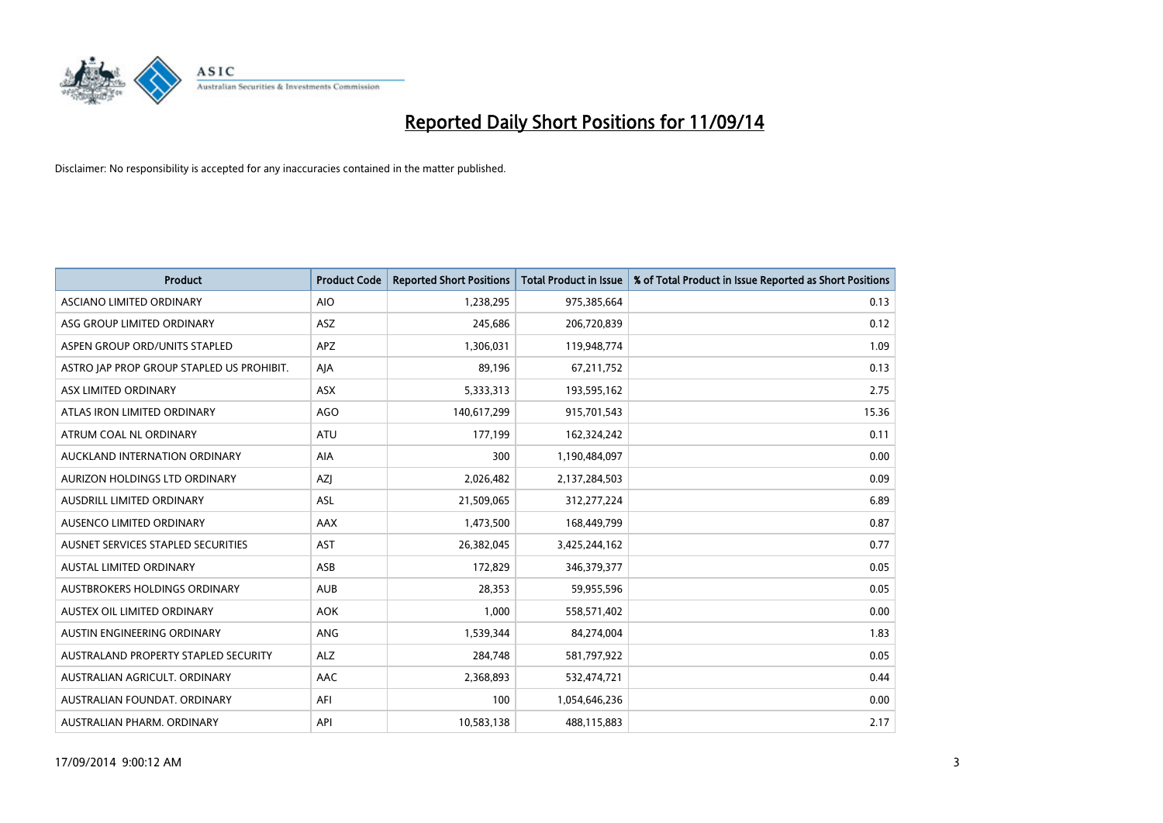

| <b>Product</b>                            | <b>Product Code</b> | <b>Reported Short Positions</b> | <b>Total Product in Issue</b> | % of Total Product in Issue Reported as Short Positions |
|-------------------------------------------|---------------------|---------------------------------|-------------------------------|---------------------------------------------------------|
| ASCIANO LIMITED ORDINARY                  | <b>AIO</b>          | 1,238,295                       | 975,385,664                   | 0.13                                                    |
| ASG GROUP LIMITED ORDINARY                | ASZ                 | 245,686                         | 206,720,839                   | 0.12                                                    |
| ASPEN GROUP ORD/UNITS STAPLED             | <b>APZ</b>          | 1,306,031                       | 119,948,774                   | 1.09                                                    |
| ASTRO JAP PROP GROUP STAPLED US PROHIBIT. | AJA                 | 89,196                          | 67,211,752                    | 0.13                                                    |
| ASX LIMITED ORDINARY                      | ASX                 | 5,333,313                       | 193,595,162                   | 2.75                                                    |
| ATLAS IRON LIMITED ORDINARY               | <b>AGO</b>          | 140,617,299                     | 915,701,543                   | 15.36                                                   |
| ATRUM COAL NL ORDINARY                    | ATU                 | 177,199                         | 162,324,242                   | 0.11                                                    |
| AUCKLAND INTERNATION ORDINARY             | AIA                 | 300                             | 1,190,484,097                 | 0.00                                                    |
| AURIZON HOLDINGS LTD ORDINARY             | AZJ                 | 2,026,482                       | 2,137,284,503                 | 0.09                                                    |
| AUSDRILL LIMITED ORDINARY                 | <b>ASL</b>          | 21,509,065                      | 312,277,224                   | 6.89                                                    |
| AUSENCO LIMITED ORDINARY                  | AAX                 | 1,473,500                       | 168,449,799                   | 0.87                                                    |
| AUSNET SERVICES STAPLED SECURITIES        | <b>AST</b>          | 26,382,045                      | 3,425,244,162                 | 0.77                                                    |
| AUSTAL LIMITED ORDINARY                   | ASB                 | 172,829                         | 346,379,377                   | 0.05                                                    |
| AUSTBROKERS HOLDINGS ORDINARY             | <b>AUB</b>          | 28,353                          | 59,955,596                    | 0.05                                                    |
| AUSTEX OIL LIMITED ORDINARY               | <b>AOK</b>          | 1,000                           | 558,571,402                   | 0.00                                                    |
| AUSTIN ENGINEERING ORDINARY               | ANG                 | 1,539,344                       | 84,274,004                    | 1.83                                                    |
| AUSTRALAND PROPERTY STAPLED SECURITY      | <b>ALZ</b>          | 284,748                         | 581,797,922                   | 0.05                                                    |
| AUSTRALIAN AGRICULT. ORDINARY             | AAC                 | 2,368,893                       | 532,474,721                   | 0.44                                                    |
| AUSTRALIAN FOUNDAT, ORDINARY              | AFI                 | 100                             | 1,054,646,236                 | 0.00                                                    |
| AUSTRALIAN PHARM. ORDINARY                | API                 | 10,583,138                      | 488,115,883                   | 2.17                                                    |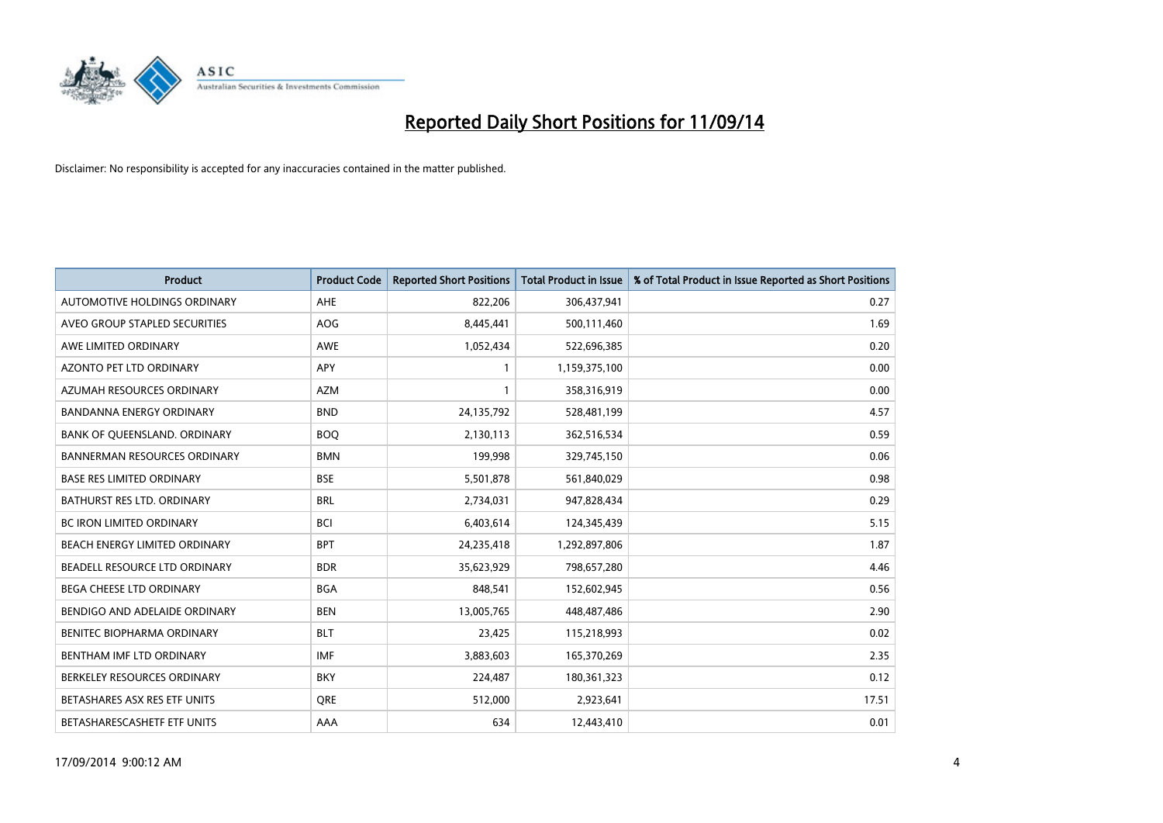

| <b>Product</b>                    | <b>Product Code</b> | <b>Reported Short Positions</b> | <b>Total Product in Issue</b> | % of Total Product in Issue Reported as Short Positions |
|-----------------------------------|---------------------|---------------------------------|-------------------------------|---------------------------------------------------------|
| AUTOMOTIVE HOLDINGS ORDINARY      | AHE                 | 822,206                         | 306,437,941                   | 0.27                                                    |
| AVEO GROUP STAPLED SECURITIES     | AOG                 | 8,445,441                       | 500,111,460                   | 1.69                                                    |
| AWE LIMITED ORDINARY              | <b>AWE</b>          | 1,052,434                       | 522,696,385                   | 0.20                                                    |
| AZONTO PET LTD ORDINARY           | APY                 | 1                               | 1,159,375,100                 | 0.00                                                    |
| AZUMAH RESOURCES ORDINARY         | <b>AZM</b>          | 1                               | 358,316,919                   | 0.00                                                    |
| <b>BANDANNA ENERGY ORDINARY</b>   | <b>BND</b>          | 24,135,792                      | 528,481,199                   | 4.57                                                    |
| BANK OF QUEENSLAND. ORDINARY      | <b>BOO</b>          | 2,130,113                       | 362,516,534                   | 0.59                                                    |
| BANNERMAN RESOURCES ORDINARY      | <b>BMN</b>          | 199,998                         | 329,745,150                   | 0.06                                                    |
| <b>BASE RES LIMITED ORDINARY</b>  | <b>BSE</b>          | 5,501,878                       | 561,840,029                   | 0.98                                                    |
| <b>BATHURST RES LTD. ORDINARY</b> | <b>BRL</b>          | 2,734,031                       | 947,828,434                   | 0.29                                                    |
| BC IRON LIMITED ORDINARY          | <b>BCI</b>          | 6,403,614                       | 124,345,439                   | 5.15                                                    |
| BEACH ENERGY LIMITED ORDINARY     | <b>BPT</b>          | 24,235,418                      | 1,292,897,806                 | 1.87                                                    |
| BEADELL RESOURCE LTD ORDINARY     | <b>BDR</b>          | 35,623,929                      | 798,657,280                   | 4.46                                                    |
| <b>BEGA CHEESE LTD ORDINARY</b>   | <b>BGA</b>          | 848,541                         | 152,602,945                   | 0.56                                                    |
| BENDIGO AND ADELAIDE ORDINARY     | <b>BEN</b>          | 13,005,765                      | 448,487,486                   | 2.90                                                    |
| BENITEC BIOPHARMA ORDINARY        | <b>BLT</b>          | 23,425                          | 115,218,993                   | 0.02                                                    |
| BENTHAM IMF LTD ORDINARY          | IMF                 | 3,883,603                       | 165,370,269                   | 2.35                                                    |
| BERKELEY RESOURCES ORDINARY       | <b>BKY</b>          | 224,487                         | 180,361,323                   | 0.12                                                    |
| BETASHARES ASX RES ETF UNITS      | <b>ORE</b>          | 512,000                         | 2,923,641                     | 17.51                                                   |
| BETASHARESCASHETF ETF UNITS       | AAA                 | 634                             | 12,443,410                    | 0.01                                                    |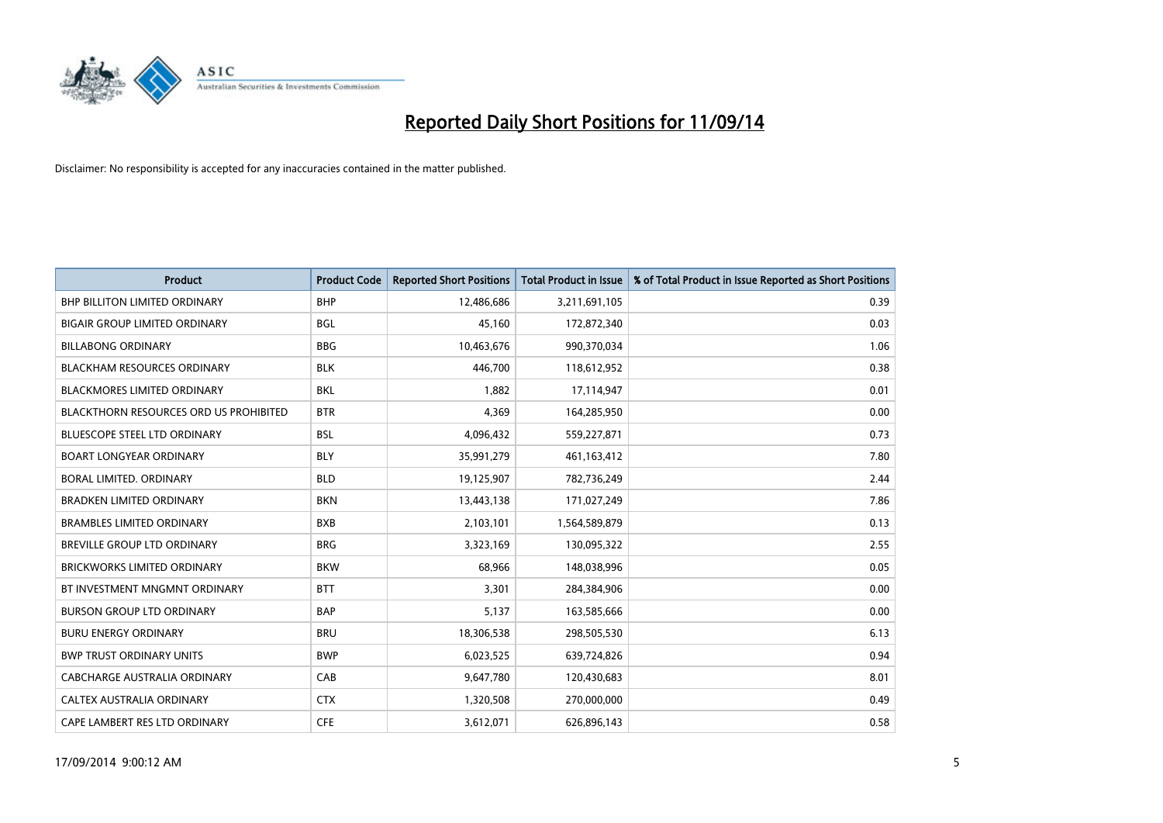

| <b>Product</b>                                | <b>Product Code</b> | <b>Reported Short Positions</b> | <b>Total Product in Issue</b> | % of Total Product in Issue Reported as Short Positions |
|-----------------------------------------------|---------------------|---------------------------------|-------------------------------|---------------------------------------------------------|
| <b>BHP BILLITON LIMITED ORDINARY</b>          | <b>BHP</b>          | 12,486,686                      | 3,211,691,105                 | 0.39                                                    |
| <b>BIGAIR GROUP LIMITED ORDINARY</b>          | <b>BGL</b>          | 45,160                          | 172,872,340                   | 0.03                                                    |
| <b>BILLABONG ORDINARY</b>                     | <b>BBG</b>          | 10,463,676                      | 990,370,034                   | 1.06                                                    |
| <b>BLACKHAM RESOURCES ORDINARY</b>            | <b>BLK</b>          | 446,700                         | 118,612,952                   | 0.38                                                    |
| <b>BLACKMORES LIMITED ORDINARY</b>            | <b>BKL</b>          | 1,882                           | 17,114,947                    | 0.01                                                    |
| <b>BLACKTHORN RESOURCES ORD US PROHIBITED</b> | <b>BTR</b>          | 4,369                           | 164,285,950                   | 0.00                                                    |
| <b>BLUESCOPE STEEL LTD ORDINARY</b>           | <b>BSL</b>          | 4,096,432                       | 559,227,871                   | 0.73                                                    |
| <b>BOART LONGYEAR ORDINARY</b>                | <b>BLY</b>          | 35,991,279                      | 461,163,412                   | 7.80                                                    |
| BORAL LIMITED. ORDINARY                       | <b>BLD</b>          | 19,125,907                      | 782,736,249                   | 2.44                                                    |
| <b>BRADKEN LIMITED ORDINARY</b>               | <b>BKN</b>          | 13,443,138                      | 171,027,249                   | 7.86                                                    |
| <b>BRAMBLES LIMITED ORDINARY</b>              | <b>BXB</b>          | 2,103,101                       | 1,564,589,879                 | 0.13                                                    |
| BREVILLE GROUP LTD ORDINARY                   | <b>BRG</b>          | 3,323,169                       | 130,095,322                   | 2.55                                                    |
| <b>BRICKWORKS LIMITED ORDINARY</b>            | <b>BKW</b>          | 68,966                          | 148,038,996                   | 0.05                                                    |
| BT INVESTMENT MNGMNT ORDINARY                 | <b>BTT</b>          | 3,301                           | 284,384,906                   | 0.00                                                    |
| <b>BURSON GROUP LTD ORDINARY</b>              | <b>BAP</b>          | 5,137                           | 163,585,666                   | 0.00                                                    |
| <b>BURU ENERGY ORDINARY</b>                   | <b>BRU</b>          | 18,306,538                      | 298,505,530                   | 6.13                                                    |
| <b>BWP TRUST ORDINARY UNITS</b>               | <b>BWP</b>          | 6,023,525                       | 639,724,826                   | 0.94                                                    |
| CABCHARGE AUSTRALIA ORDINARY                  | CAB                 | 9,647,780                       | 120,430,683                   | 8.01                                                    |
| <b>CALTEX AUSTRALIA ORDINARY</b>              | <b>CTX</b>          | 1,320,508                       | 270,000,000                   | 0.49                                                    |
| CAPE LAMBERT RES LTD ORDINARY                 | <b>CFE</b>          | 3,612,071                       | 626,896,143                   | 0.58                                                    |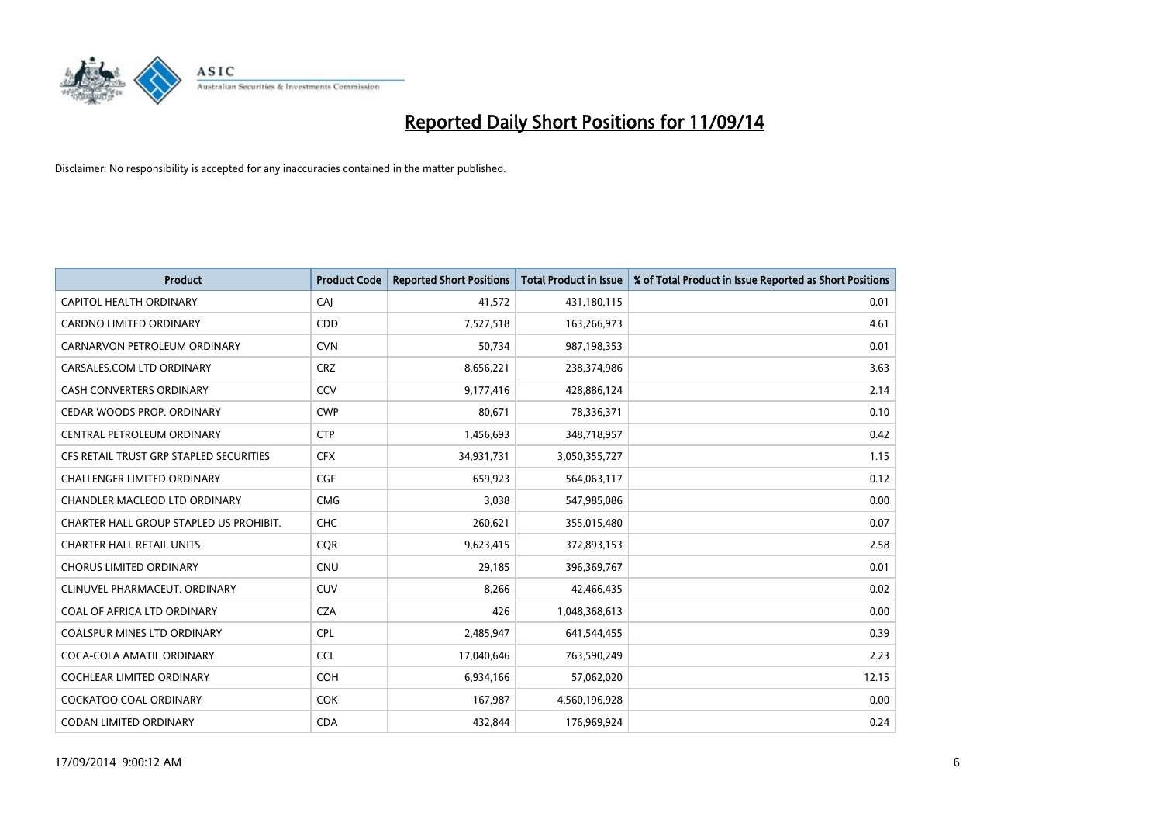

| <b>Product</b>                          | <b>Product Code</b> | <b>Reported Short Positions</b> | <b>Total Product in Issue</b> | % of Total Product in Issue Reported as Short Positions |
|-----------------------------------------|---------------------|---------------------------------|-------------------------------|---------------------------------------------------------|
| <b>CAPITOL HEALTH ORDINARY</b>          | CAI                 | 41,572                          | 431,180,115                   | 0.01                                                    |
| <b>CARDNO LIMITED ORDINARY</b>          | CDD                 | 7,527,518                       | 163,266,973                   | 4.61                                                    |
| CARNARVON PETROLEUM ORDINARY            | <b>CVN</b>          | 50,734                          | 987,198,353                   | 0.01                                                    |
| CARSALES.COM LTD ORDINARY               | <b>CRZ</b>          | 8,656,221                       | 238,374,986                   | 3.63                                                    |
| <b>CASH CONVERTERS ORDINARY</b>         | CCV                 | 9,177,416                       | 428,886,124                   | 2.14                                                    |
| CEDAR WOODS PROP. ORDINARY              | <b>CWP</b>          | 80,671                          | 78,336,371                    | 0.10                                                    |
| CENTRAL PETROLEUM ORDINARY              | <b>CTP</b>          | 1,456,693                       | 348,718,957                   | 0.42                                                    |
| CFS RETAIL TRUST GRP STAPLED SECURITIES | <b>CFX</b>          | 34,931,731                      | 3,050,355,727                 | 1.15                                                    |
| <b>CHALLENGER LIMITED ORDINARY</b>      | <b>CGF</b>          | 659,923                         | 564,063,117                   | 0.12                                                    |
| <b>CHANDLER MACLEOD LTD ORDINARY</b>    | <b>CMG</b>          | 3,038                           | 547,985,086                   | 0.00                                                    |
| CHARTER HALL GROUP STAPLED US PROHIBIT. | <b>CHC</b>          | 260,621                         | 355,015,480                   | 0.07                                                    |
| <b>CHARTER HALL RETAIL UNITS</b>        | <b>CQR</b>          | 9,623,415                       | 372,893,153                   | 2.58                                                    |
| <b>CHORUS LIMITED ORDINARY</b>          | <b>CNU</b>          | 29,185                          | 396,369,767                   | 0.01                                                    |
| CLINUVEL PHARMACEUT, ORDINARY           | CUV                 | 8,266                           | 42,466,435                    | 0.02                                                    |
| COAL OF AFRICA LTD ORDINARY             | <b>CZA</b>          | 426                             | 1,048,368,613                 | 0.00                                                    |
| <b>COALSPUR MINES LTD ORDINARY</b>      | <b>CPL</b>          | 2,485,947                       | 641,544,455                   | 0.39                                                    |
| COCA-COLA AMATIL ORDINARY               | <b>CCL</b>          | 17,040,646                      | 763,590,249                   | 2.23                                                    |
| <b>COCHLEAR LIMITED ORDINARY</b>        | <b>COH</b>          | 6,934,166                       | 57,062,020                    | 12.15                                                   |
| <b>COCKATOO COAL ORDINARY</b>           | <b>COK</b>          | 167,987                         | 4,560,196,928                 | 0.00                                                    |
| CODAN LIMITED ORDINARY                  | <b>CDA</b>          | 432,844                         | 176,969,924                   | 0.24                                                    |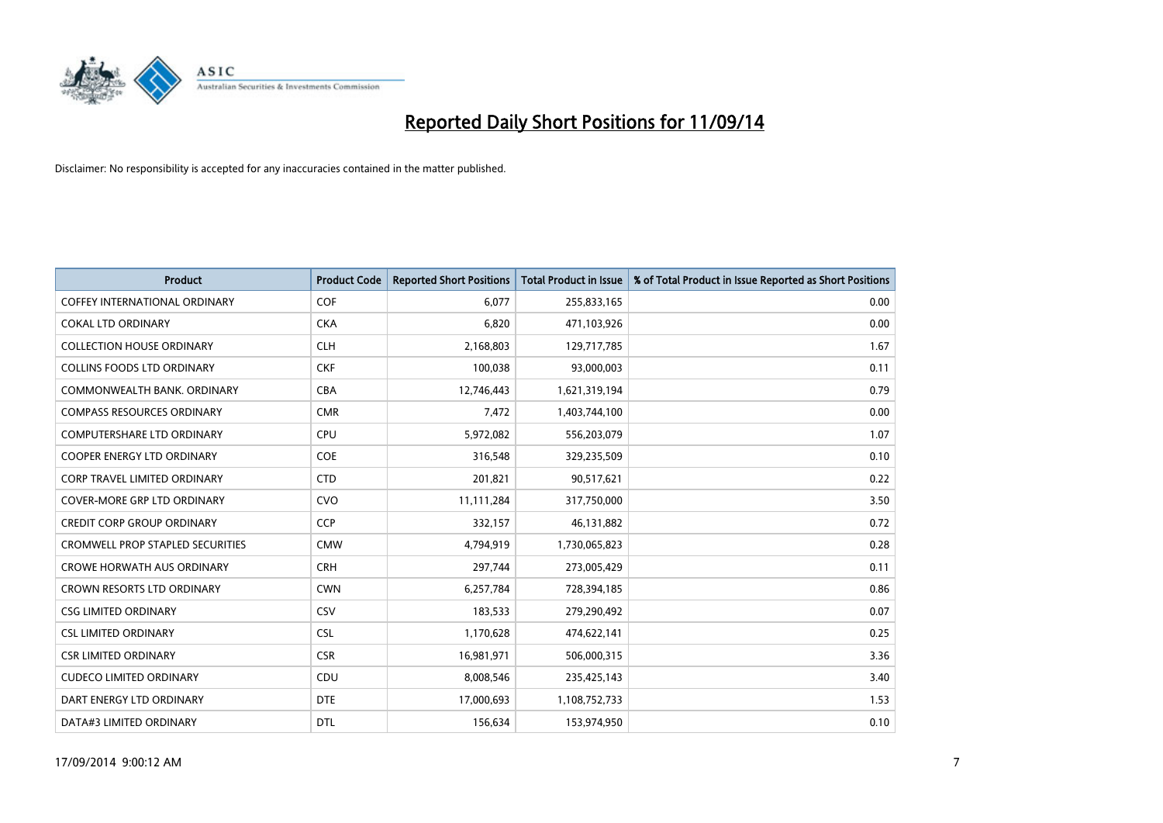

| <b>Product</b>                          | <b>Product Code</b> | <b>Reported Short Positions</b> | <b>Total Product in Issue</b> | % of Total Product in Issue Reported as Short Positions |
|-----------------------------------------|---------------------|---------------------------------|-------------------------------|---------------------------------------------------------|
| <b>COFFEY INTERNATIONAL ORDINARY</b>    | <b>COF</b>          | 6,077                           | 255,833,165                   | 0.00                                                    |
| <b>COKAL LTD ORDINARY</b>               | <b>CKA</b>          | 6,820                           | 471,103,926                   | 0.00                                                    |
| <b>COLLECTION HOUSE ORDINARY</b>        | <b>CLH</b>          | 2,168,803                       | 129,717,785                   | 1.67                                                    |
| <b>COLLINS FOODS LTD ORDINARY</b>       | <b>CKF</b>          | 100,038                         | 93,000,003                    | 0.11                                                    |
| COMMONWEALTH BANK, ORDINARY             | <b>CBA</b>          | 12,746,443                      | 1,621,319,194                 | 0.79                                                    |
| <b>COMPASS RESOURCES ORDINARY</b>       | <b>CMR</b>          | 7,472                           | 1,403,744,100                 | 0.00                                                    |
| <b>COMPUTERSHARE LTD ORDINARY</b>       | <b>CPU</b>          | 5,972,082                       | 556,203,079                   | 1.07                                                    |
| <b>COOPER ENERGY LTD ORDINARY</b>       | <b>COE</b>          | 316,548                         | 329,235,509                   | 0.10                                                    |
| CORP TRAVEL LIMITED ORDINARY            | <b>CTD</b>          | 201,821                         | 90,517,621                    | 0.22                                                    |
| <b>COVER-MORE GRP LTD ORDINARY</b>      | <b>CVO</b>          | 11,111,284                      | 317,750,000                   | 3.50                                                    |
| <b>CREDIT CORP GROUP ORDINARY</b>       | <b>CCP</b>          | 332,157                         | 46,131,882                    | 0.72                                                    |
| <b>CROMWELL PROP STAPLED SECURITIES</b> | <b>CMW</b>          | 4,794,919                       | 1,730,065,823                 | 0.28                                                    |
| <b>CROWE HORWATH AUS ORDINARY</b>       | <b>CRH</b>          | 297,744                         | 273,005,429                   | 0.11                                                    |
| CROWN RESORTS LTD ORDINARY              | <b>CWN</b>          | 6,257,784                       | 728,394,185                   | 0.86                                                    |
| <b>CSG LIMITED ORDINARY</b>             | CSV                 | 183,533                         | 279,290,492                   | 0.07                                                    |
| <b>CSL LIMITED ORDINARY</b>             | <b>CSL</b>          | 1,170,628                       | 474,622,141                   | 0.25                                                    |
| <b>CSR LIMITED ORDINARY</b>             | <b>CSR</b>          | 16,981,971                      | 506,000,315                   | 3.36                                                    |
| <b>CUDECO LIMITED ORDINARY</b>          | <b>CDU</b>          | 8,008,546                       | 235,425,143                   | 3.40                                                    |
| DART ENERGY LTD ORDINARY                | <b>DTE</b>          | 17,000,693                      | 1,108,752,733                 | 1.53                                                    |
| DATA#3 LIMITED ORDINARY                 | <b>DTL</b>          | 156,634                         | 153,974,950                   | 0.10                                                    |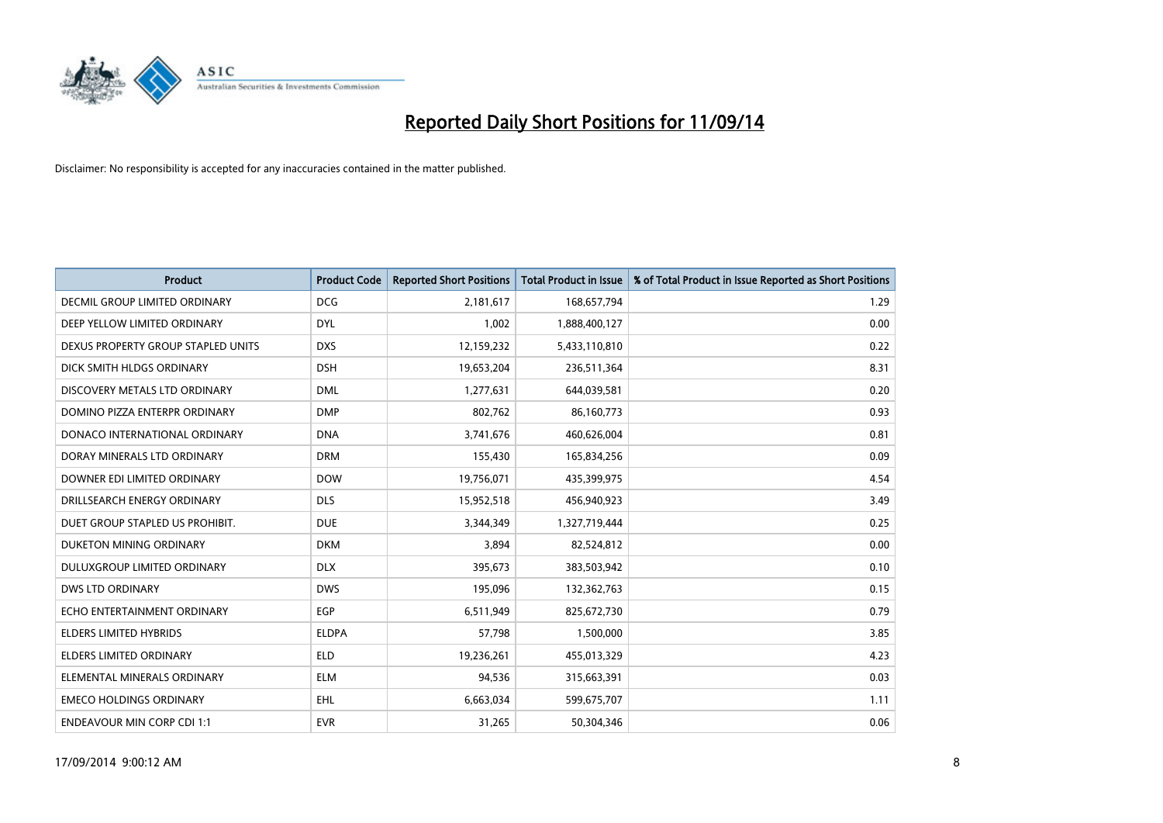

| <b>Product</b>                       | <b>Product Code</b> | <b>Reported Short Positions</b> | <b>Total Product in Issue</b> | % of Total Product in Issue Reported as Short Positions |
|--------------------------------------|---------------------|---------------------------------|-------------------------------|---------------------------------------------------------|
| <b>DECMIL GROUP LIMITED ORDINARY</b> | <b>DCG</b>          | 2,181,617                       | 168,657,794                   | 1.29                                                    |
| DEEP YELLOW LIMITED ORDINARY         | <b>DYL</b>          | 1,002                           | 1,888,400,127                 | 0.00                                                    |
| DEXUS PROPERTY GROUP STAPLED UNITS   | <b>DXS</b>          | 12,159,232                      | 5,433,110,810                 | 0.22                                                    |
| DICK SMITH HLDGS ORDINARY            | <b>DSH</b>          | 19,653,204                      | 236,511,364                   | 8.31                                                    |
| DISCOVERY METALS LTD ORDINARY        | <b>DML</b>          | 1,277,631                       | 644,039,581                   | 0.20                                                    |
| DOMINO PIZZA ENTERPR ORDINARY        | <b>DMP</b>          | 802,762                         | 86,160,773                    | 0.93                                                    |
| DONACO INTERNATIONAL ORDINARY        | <b>DNA</b>          | 3,741,676                       | 460,626,004                   | 0.81                                                    |
| DORAY MINERALS LTD ORDINARY          | <b>DRM</b>          | 155,430                         | 165,834,256                   | 0.09                                                    |
| DOWNER EDI LIMITED ORDINARY          | <b>DOW</b>          | 19,756,071                      | 435,399,975                   | 4.54                                                    |
| DRILLSEARCH ENERGY ORDINARY          | <b>DLS</b>          | 15,952,518                      | 456,940,923                   | 3.49                                                    |
| DUET GROUP STAPLED US PROHIBIT.      | <b>DUE</b>          | 3,344,349                       | 1,327,719,444                 | 0.25                                                    |
| DUKETON MINING ORDINARY              | <b>DKM</b>          | 3,894                           | 82,524,812                    | 0.00                                                    |
| DULUXGROUP LIMITED ORDINARY          | <b>DLX</b>          | 395,673                         | 383,503,942                   | 0.10                                                    |
| <b>DWS LTD ORDINARY</b>              | <b>DWS</b>          | 195,096                         | 132,362,763                   | 0.15                                                    |
| ECHO ENTERTAINMENT ORDINARY          | <b>EGP</b>          | 6,511,949                       | 825,672,730                   | 0.79                                                    |
| <b>ELDERS LIMITED HYBRIDS</b>        | <b>ELDPA</b>        | 57,798                          | 1,500,000                     | 3.85                                                    |
| ELDERS LIMITED ORDINARY              | ELD                 | 19,236,261                      | 455,013,329                   | 4.23                                                    |
| ELEMENTAL MINERALS ORDINARY          | <b>ELM</b>          | 94,536                          | 315,663,391                   | 0.03                                                    |
| <b>EMECO HOLDINGS ORDINARY</b>       | EHL                 | 6,663,034                       | 599,675,707                   | 1.11                                                    |
| <b>ENDEAVOUR MIN CORP CDI 1:1</b>    | <b>EVR</b>          | 31,265                          | 50,304,346                    | 0.06                                                    |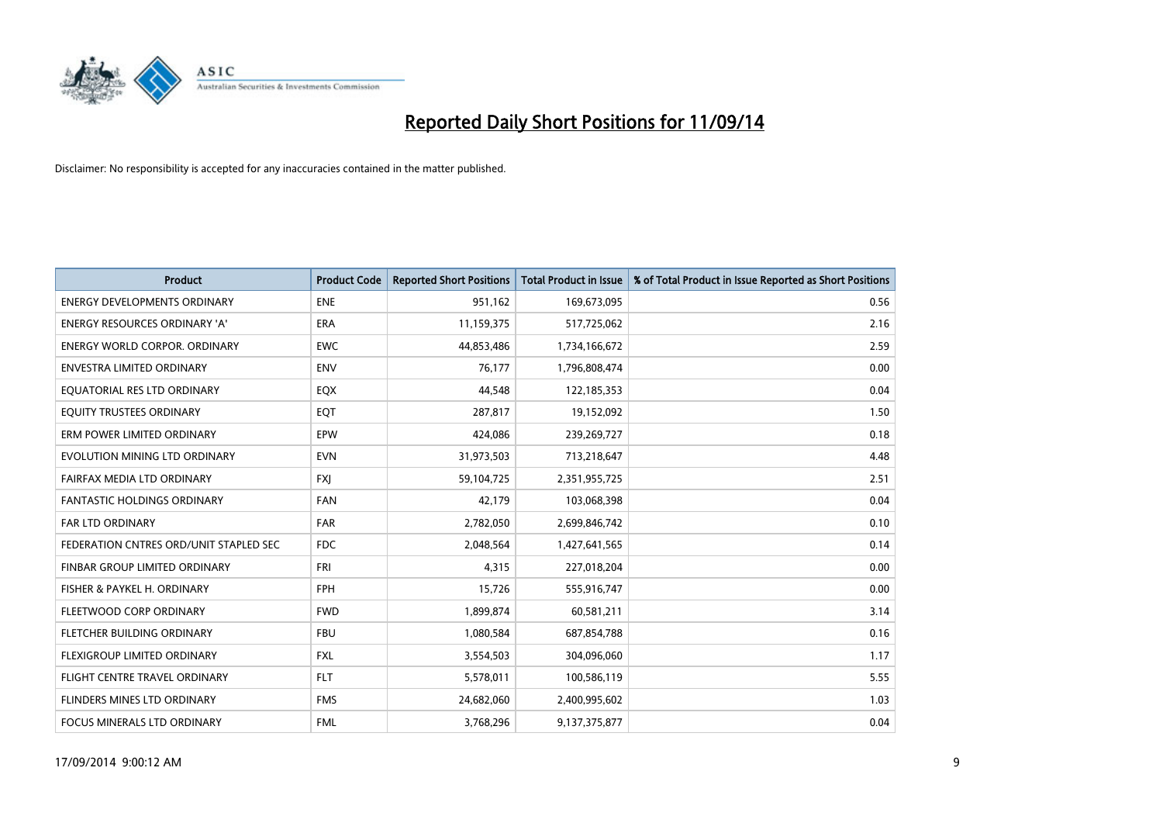

| <b>Product</b>                         | <b>Product Code</b> | <b>Reported Short Positions</b> | <b>Total Product in Issue</b> | % of Total Product in Issue Reported as Short Positions |
|----------------------------------------|---------------------|---------------------------------|-------------------------------|---------------------------------------------------------|
| <b>ENERGY DEVELOPMENTS ORDINARY</b>    | <b>ENE</b>          | 951,162                         | 169,673,095                   | 0.56                                                    |
| ENERGY RESOURCES ORDINARY 'A'          | ERA                 | 11,159,375                      | 517,725,062                   | 2.16                                                    |
| <b>ENERGY WORLD CORPOR, ORDINARY</b>   | <b>EWC</b>          | 44,853,486                      | 1,734,166,672                 | 2.59                                                    |
| <b>ENVESTRA LIMITED ORDINARY</b>       | <b>ENV</b>          | 76,177                          | 1,796,808,474                 | 0.00                                                    |
| EQUATORIAL RES LTD ORDINARY            | EQX                 | 44,548                          | 122,185,353                   | 0.04                                                    |
| EQUITY TRUSTEES ORDINARY               | EQT                 | 287,817                         | 19,152,092                    | 1.50                                                    |
| ERM POWER LIMITED ORDINARY             | <b>EPW</b>          | 424,086                         | 239,269,727                   | 0.18                                                    |
| EVOLUTION MINING LTD ORDINARY          | <b>EVN</b>          | 31,973,503                      | 713,218,647                   | 4.48                                                    |
| FAIRFAX MEDIA LTD ORDINARY             | <b>FXI</b>          | 59,104,725                      | 2,351,955,725                 | 2.51                                                    |
| <b>FANTASTIC HOLDINGS ORDINARY</b>     | <b>FAN</b>          | 42,179                          | 103,068,398                   | 0.04                                                    |
| FAR LTD ORDINARY                       | <b>FAR</b>          | 2,782,050                       | 2,699,846,742                 | 0.10                                                    |
| FEDERATION CNTRES ORD/UNIT STAPLED SEC | <b>FDC</b>          | 2,048,564                       | 1,427,641,565                 | 0.14                                                    |
| FINBAR GROUP LIMITED ORDINARY          | <b>FRI</b>          | 4,315                           | 227,018,204                   | 0.00                                                    |
| FISHER & PAYKEL H. ORDINARY            | FPH                 | 15,726                          | 555,916,747                   | 0.00                                                    |
| FLEETWOOD CORP ORDINARY                | <b>FWD</b>          | 1,899,874                       | 60,581,211                    | 3.14                                                    |
| FLETCHER BUILDING ORDINARY             | <b>FBU</b>          | 1,080,584                       | 687,854,788                   | 0.16                                                    |
| FLEXIGROUP LIMITED ORDINARY            | <b>FXL</b>          | 3,554,503                       | 304,096,060                   | 1.17                                                    |
| FLIGHT CENTRE TRAVEL ORDINARY          | <b>FLT</b>          | 5,578,011                       | 100,586,119                   | 5.55                                                    |
| FLINDERS MINES LTD ORDINARY            | <b>FMS</b>          | 24,682,060                      | 2,400,995,602                 | 1.03                                                    |
| FOCUS MINERALS LTD ORDINARY            | <b>FML</b>          | 3,768,296                       | 9,137,375,877                 | 0.04                                                    |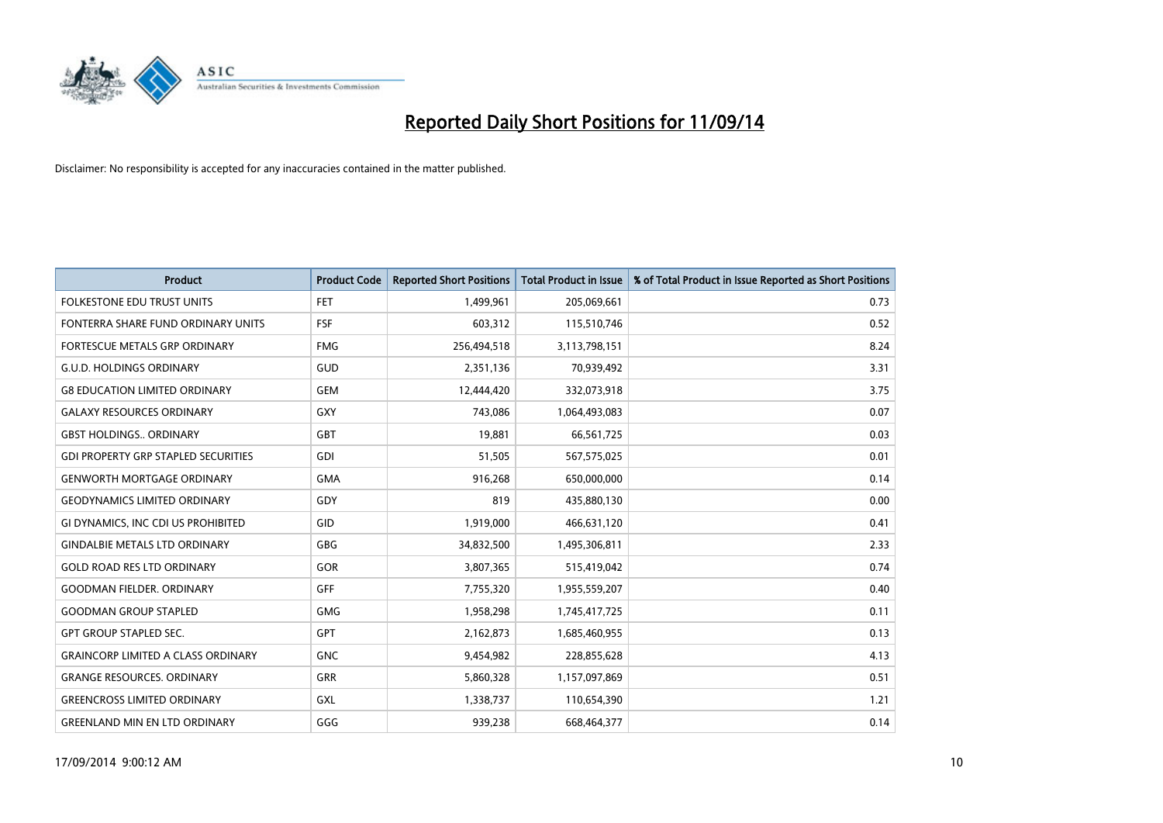

| <b>Product</b>                             | <b>Product Code</b> | <b>Reported Short Positions</b> | <b>Total Product in Issue</b> | % of Total Product in Issue Reported as Short Positions |
|--------------------------------------------|---------------------|---------------------------------|-------------------------------|---------------------------------------------------------|
| <b>FOLKESTONE EDU TRUST UNITS</b>          | FET                 | 1,499,961                       | 205,069,661                   | 0.73                                                    |
| FONTERRA SHARE FUND ORDINARY UNITS         | <b>FSF</b>          | 603,312                         | 115,510,746                   | 0.52                                                    |
| <b>FORTESCUE METALS GRP ORDINARY</b>       | <b>FMG</b>          | 256,494,518                     | 3,113,798,151                 | 8.24                                                    |
| <b>G.U.D. HOLDINGS ORDINARY</b>            | GUD                 | 2,351,136                       | 70,939,492                    | 3.31                                                    |
| <b>G8 EDUCATION LIMITED ORDINARY</b>       | <b>GEM</b>          | 12,444,420                      | 332,073,918                   | 3.75                                                    |
| <b>GALAXY RESOURCES ORDINARY</b>           | <b>GXY</b>          | 743,086                         | 1,064,493,083                 | 0.07                                                    |
| <b>GBST HOLDINGS ORDINARY</b>              | <b>GBT</b>          | 19,881                          | 66,561,725                    | 0.03                                                    |
| <b>GDI PROPERTY GRP STAPLED SECURITIES</b> | GDI                 | 51,505                          | 567,575,025                   | 0.01                                                    |
| <b>GENWORTH MORTGAGE ORDINARY</b>          | <b>GMA</b>          | 916,268                         | 650,000,000                   | 0.14                                                    |
| <b>GEODYNAMICS LIMITED ORDINARY</b>        | GDY                 | 819                             | 435,880,130                   | 0.00                                                    |
| GI DYNAMICS, INC CDI US PROHIBITED         | GID                 | 1,919,000                       | 466,631,120                   | 0.41                                                    |
| <b>GINDALBIE METALS LTD ORDINARY</b>       | GBG                 | 34,832,500                      | 1,495,306,811                 | 2.33                                                    |
| <b>GOLD ROAD RES LTD ORDINARY</b>          | GOR                 | 3,807,365                       | 515,419,042                   | 0.74                                                    |
| <b>GOODMAN FIELDER, ORDINARY</b>           | GFF                 | 7,755,320                       | 1,955,559,207                 | 0.40                                                    |
| <b>GOODMAN GROUP STAPLED</b>               | <b>GMG</b>          | 1,958,298                       | 1,745,417,725                 | 0.11                                                    |
| <b>GPT GROUP STAPLED SEC.</b>              | GPT                 | 2,162,873                       | 1,685,460,955                 | 0.13                                                    |
| <b>GRAINCORP LIMITED A CLASS ORDINARY</b>  | <b>GNC</b>          | 9,454,982                       | 228,855,628                   | 4.13                                                    |
| <b>GRANGE RESOURCES. ORDINARY</b>          | <b>GRR</b>          | 5,860,328                       | 1,157,097,869                 | 0.51                                                    |
| <b>GREENCROSS LIMITED ORDINARY</b>         | <b>GXL</b>          | 1,338,737                       | 110,654,390                   | 1.21                                                    |
| <b>GREENLAND MIN EN LTD ORDINARY</b>       | GGG                 | 939,238                         | 668,464,377                   | 0.14                                                    |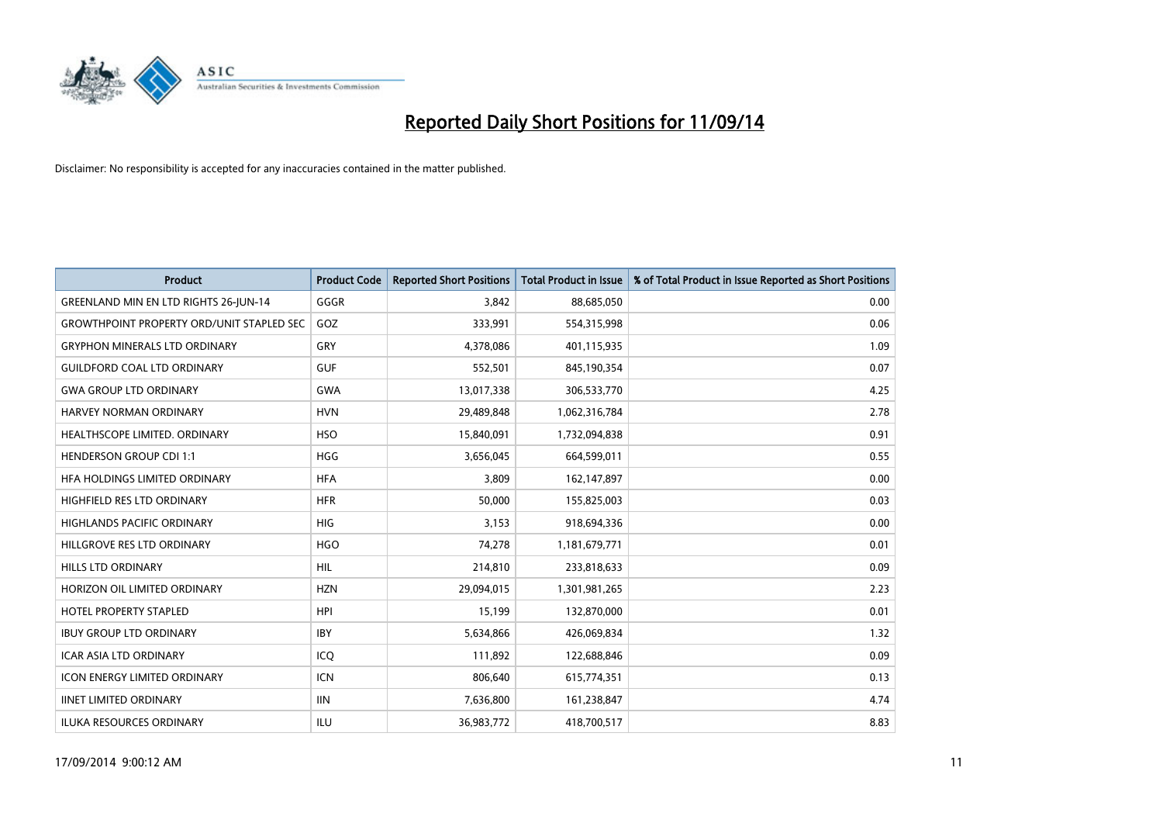

| <b>Product</b>                                   | <b>Product Code</b> | <b>Reported Short Positions</b> | <b>Total Product in Issue</b> | % of Total Product in Issue Reported as Short Positions |
|--------------------------------------------------|---------------------|---------------------------------|-------------------------------|---------------------------------------------------------|
| GREENLAND MIN EN LTD RIGHTS 26-JUN-14            | GGGR                | 3.842                           | 88,685,050                    | 0.00                                                    |
| <b>GROWTHPOINT PROPERTY ORD/UNIT STAPLED SEC</b> | GOZ                 | 333,991                         | 554,315,998                   | 0.06                                                    |
| <b>GRYPHON MINERALS LTD ORDINARY</b>             | GRY                 | 4,378,086                       | 401,115,935                   | 1.09                                                    |
| <b>GUILDFORD COAL LTD ORDINARY</b>               | <b>GUF</b>          | 552,501                         | 845,190,354                   | 0.07                                                    |
| <b>GWA GROUP LTD ORDINARY</b>                    | <b>GWA</b>          | 13,017,338                      | 306,533,770                   | 4.25                                                    |
| <b>HARVEY NORMAN ORDINARY</b>                    | <b>HVN</b>          | 29,489,848                      | 1,062,316,784                 | 2.78                                                    |
| HEALTHSCOPE LIMITED. ORDINARY                    | <b>HSO</b>          | 15,840,091                      | 1,732,094,838                 | 0.91                                                    |
| <b>HENDERSON GROUP CDI 1:1</b>                   | <b>HGG</b>          | 3,656,045                       | 664,599,011                   | 0.55                                                    |
| HFA HOLDINGS LIMITED ORDINARY                    | <b>HFA</b>          | 3,809                           | 162,147,897                   | 0.00                                                    |
| <b>HIGHFIELD RES LTD ORDINARY</b>                | <b>HFR</b>          | 50,000                          | 155,825,003                   | 0.03                                                    |
| HIGHLANDS PACIFIC ORDINARY                       | <b>HIG</b>          | 3,153                           | 918,694,336                   | 0.00                                                    |
| HILLGROVE RES LTD ORDINARY                       | <b>HGO</b>          | 74,278                          | 1,181,679,771                 | 0.01                                                    |
| HILLS LTD ORDINARY                               | <b>HIL</b>          | 214,810                         | 233,818,633                   | 0.09                                                    |
| HORIZON OIL LIMITED ORDINARY                     | <b>HZN</b>          | 29,094,015                      | 1,301,981,265                 | 2.23                                                    |
| <b>HOTEL PROPERTY STAPLED</b>                    | <b>HPI</b>          | 15,199                          | 132,870,000                   | 0.01                                                    |
| <b>IBUY GROUP LTD ORDINARY</b>                   | <b>IBY</b>          | 5,634,866                       | 426,069,834                   | 1.32                                                    |
| <b>ICAR ASIA LTD ORDINARY</b>                    | ICQ                 | 111,892                         | 122,688,846                   | 0.09                                                    |
| <b>ICON ENERGY LIMITED ORDINARY</b>              | <b>ICN</b>          | 806,640                         | 615,774,351                   | 0.13                                                    |
| <b>IINET LIMITED ORDINARY</b>                    | <b>IIN</b>          | 7,636,800                       | 161,238,847                   | 4.74                                                    |
| <b>ILUKA RESOURCES ORDINARY</b>                  | ILU                 | 36,983,772                      | 418,700,517                   | 8.83                                                    |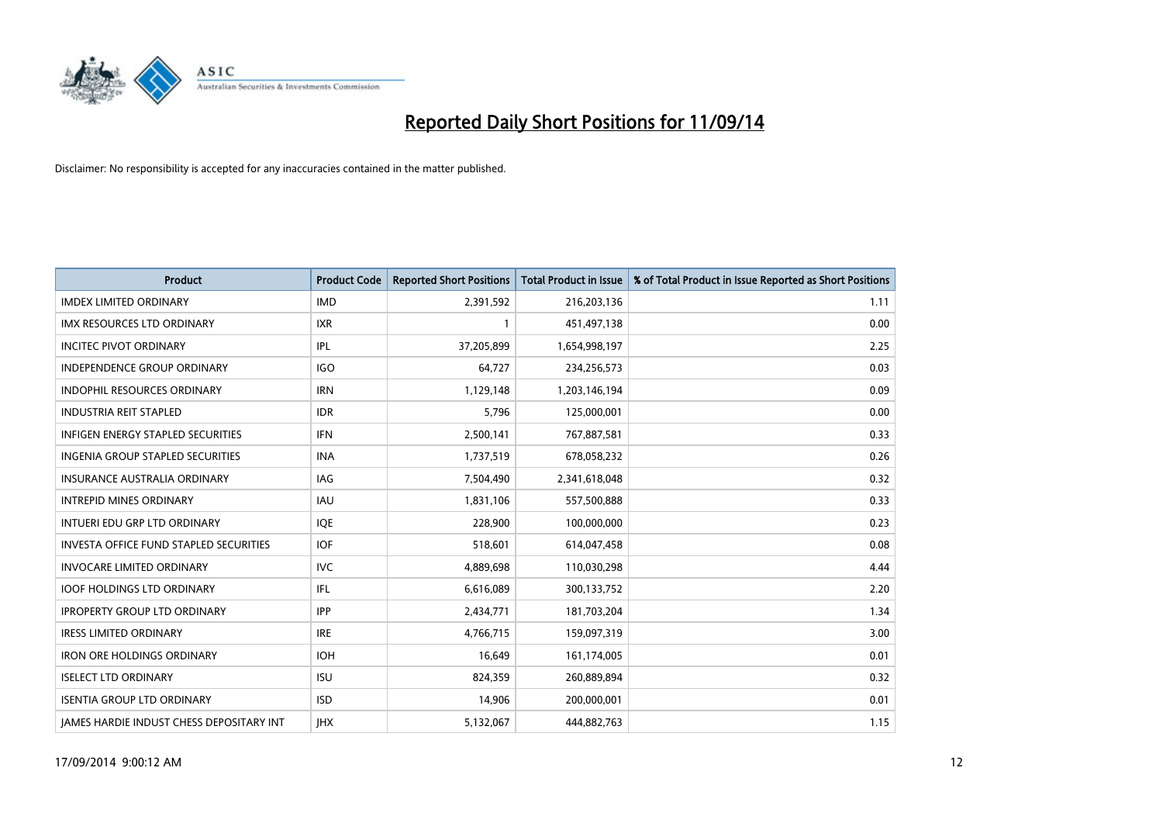

| <b>Product</b>                                  | <b>Product Code</b> | <b>Reported Short Positions</b> | <b>Total Product in Issue</b> | % of Total Product in Issue Reported as Short Positions |
|-------------------------------------------------|---------------------|---------------------------------|-------------------------------|---------------------------------------------------------|
| <b>IMDEX LIMITED ORDINARY</b>                   | <b>IMD</b>          | 2,391,592                       | 216,203,136                   | 1.11                                                    |
| IMX RESOURCES LTD ORDINARY                      | <b>IXR</b>          |                                 | 451,497,138                   | 0.00                                                    |
| <b>INCITEC PIVOT ORDINARY</b>                   | IPL                 | 37,205,899                      | 1,654,998,197                 | 2.25                                                    |
| INDEPENDENCE GROUP ORDINARY                     | <b>IGO</b>          | 64,727                          | 234,256,573                   | 0.03                                                    |
| <b>INDOPHIL RESOURCES ORDINARY</b>              | <b>IRN</b>          | 1,129,148                       | 1,203,146,194                 | 0.09                                                    |
| <b>INDUSTRIA REIT STAPLED</b>                   | <b>IDR</b>          | 5,796                           | 125,000,001                   | 0.00                                                    |
| <b>INFIGEN ENERGY STAPLED SECURITIES</b>        | <b>IFN</b>          | 2,500,141                       | 767,887,581                   | 0.33                                                    |
| <b>INGENIA GROUP STAPLED SECURITIES</b>         | <b>INA</b>          | 1,737,519                       | 678,058,232                   | 0.26                                                    |
| INSURANCE AUSTRALIA ORDINARY                    | IAG                 | 7,504,490                       | 2,341,618,048                 | 0.32                                                    |
| <b>INTREPID MINES ORDINARY</b>                  | <b>IAU</b>          | 1,831,106                       | 557,500,888                   | 0.33                                                    |
| INTUERI EDU GRP LTD ORDINARY                    | IQE                 | 228,900                         | 100,000,000                   | 0.23                                                    |
| <b>INVESTA OFFICE FUND STAPLED SECURITIES</b>   | <b>IOF</b>          | 518,601                         | 614,047,458                   | 0.08                                                    |
| <b>INVOCARE LIMITED ORDINARY</b>                | <b>IVC</b>          | 4,889,698                       | 110,030,298                   | 4.44                                                    |
| <b>IOOF HOLDINGS LTD ORDINARY</b>               | IFL                 | 6,616,089                       | 300,133,752                   | 2.20                                                    |
| <b>IPROPERTY GROUP LTD ORDINARY</b>             | <b>IPP</b>          | 2,434,771                       | 181,703,204                   | 1.34                                                    |
| <b>IRESS LIMITED ORDINARY</b>                   | <b>IRE</b>          | 4,766,715                       | 159,097,319                   | 3.00                                                    |
| <b>IRON ORE HOLDINGS ORDINARY</b>               | <b>IOH</b>          | 16,649                          | 161,174,005                   | 0.01                                                    |
| <b>ISELECT LTD ORDINARY</b>                     | <b>ISU</b>          | 824,359                         | 260,889,894                   | 0.32                                                    |
| <b>ISENTIA GROUP LTD ORDINARY</b>               | <b>ISD</b>          | 14,906                          | 200,000,001                   | 0.01                                                    |
| <b>IAMES HARDIE INDUST CHESS DEPOSITARY INT</b> | <b>IHX</b>          | 5,132,067                       | 444,882,763                   | 1.15                                                    |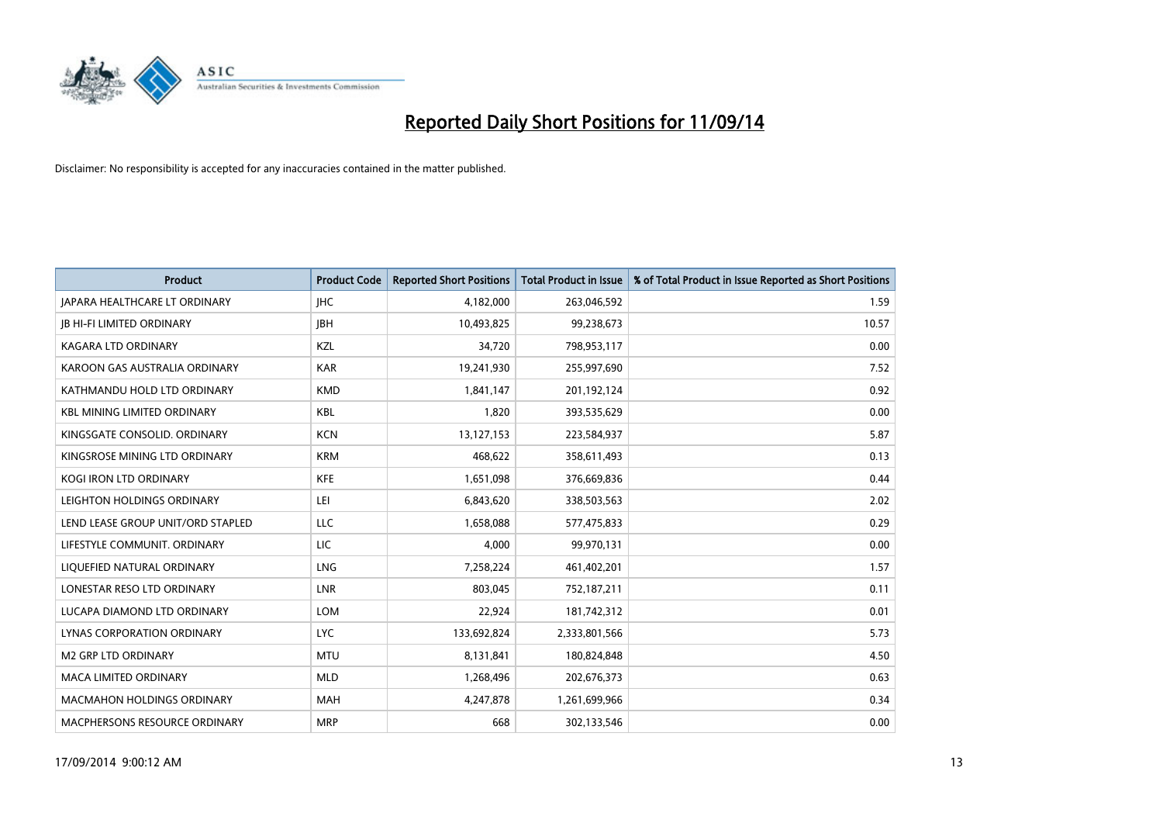

| <b>Product</b>                       | <b>Product Code</b> | <b>Reported Short Positions</b> | <b>Total Product in Issue</b> | % of Total Product in Issue Reported as Short Positions |
|--------------------------------------|---------------------|---------------------------------|-------------------------------|---------------------------------------------------------|
| <b>JAPARA HEALTHCARE LT ORDINARY</b> | <b>IHC</b>          | 4,182,000                       | 263,046,592                   | 1.59                                                    |
| <b>JB HI-FI LIMITED ORDINARY</b>     | <b>JBH</b>          | 10,493,825                      | 99,238,673                    | 10.57                                                   |
| <b>KAGARA LTD ORDINARY</b>           | KZL                 | 34,720                          | 798,953,117                   | 0.00                                                    |
| KAROON GAS AUSTRALIA ORDINARY        | <b>KAR</b>          | 19,241,930                      | 255,997,690                   | 7.52                                                    |
| KATHMANDU HOLD LTD ORDINARY          | <b>KMD</b>          | 1,841,147                       | 201,192,124                   | 0.92                                                    |
| <b>KBL MINING LIMITED ORDINARY</b>   | <b>KBL</b>          | 1,820                           | 393,535,629                   | 0.00                                                    |
| KINGSGATE CONSOLID. ORDINARY         | <b>KCN</b>          | 13,127,153                      | 223,584,937                   | 5.87                                                    |
| KINGSROSE MINING LTD ORDINARY        | <b>KRM</b>          | 468,622                         | 358,611,493                   | 0.13                                                    |
| <b>KOGI IRON LTD ORDINARY</b>        | <b>KFE</b>          | 1,651,098                       | 376,669,836                   | 0.44                                                    |
| LEIGHTON HOLDINGS ORDINARY           | LEI                 | 6,843,620                       | 338,503,563                   | 2.02                                                    |
| LEND LEASE GROUP UNIT/ORD STAPLED    | LLC                 | 1,658,088                       | 577,475,833                   | 0.29                                                    |
| LIFESTYLE COMMUNIT, ORDINARY         | LIC                 | 4,000                           | 99,970,131                    | 0.00                                                    |
| LIQUEFIED NATURAL ORDINARY           | LNG                 | 7,258,224                       | 461,402,201                   | 1.57                                                    |
| LONESTAR RESO LTD ORDINARY           | LNR                 | 803,045                         | 752,187,211                   | 0.11                                                    |
| LUCAPA DIAMOND LTD ORDINARY          | <b>LOM</b>          | 22,924                          | 181,742,312                   | 0.01                                                    |
| LYNAS CORPORATION ORDINARY           | <b>LYC</b>          | 133,692,824                     | 2,333,801,566                 | 5.73                                                    |
| M2 GRP LTD ORDINARY                  | <b>MTU</b>          | 8,131,841                       | 180,824,848                   | 4.50                                                    |
| <b>MACA LIMITED ORDINARY</b>         | <b>MLD</b>          | 1,268,496                       | 202,676,373                   | 0.63                                                    |
| <b>MACMAHON HOLDINGS ORDINARY</b>    | <b>MAH</b>          | 4,247,878                       | 1,261,699,966                 | 0.34                                                    |
| MACPHERSONS RESOURCE ORDINARY        | <b>MRP</b>          | 668                             | 302,133,546                   | 0.00                                                    |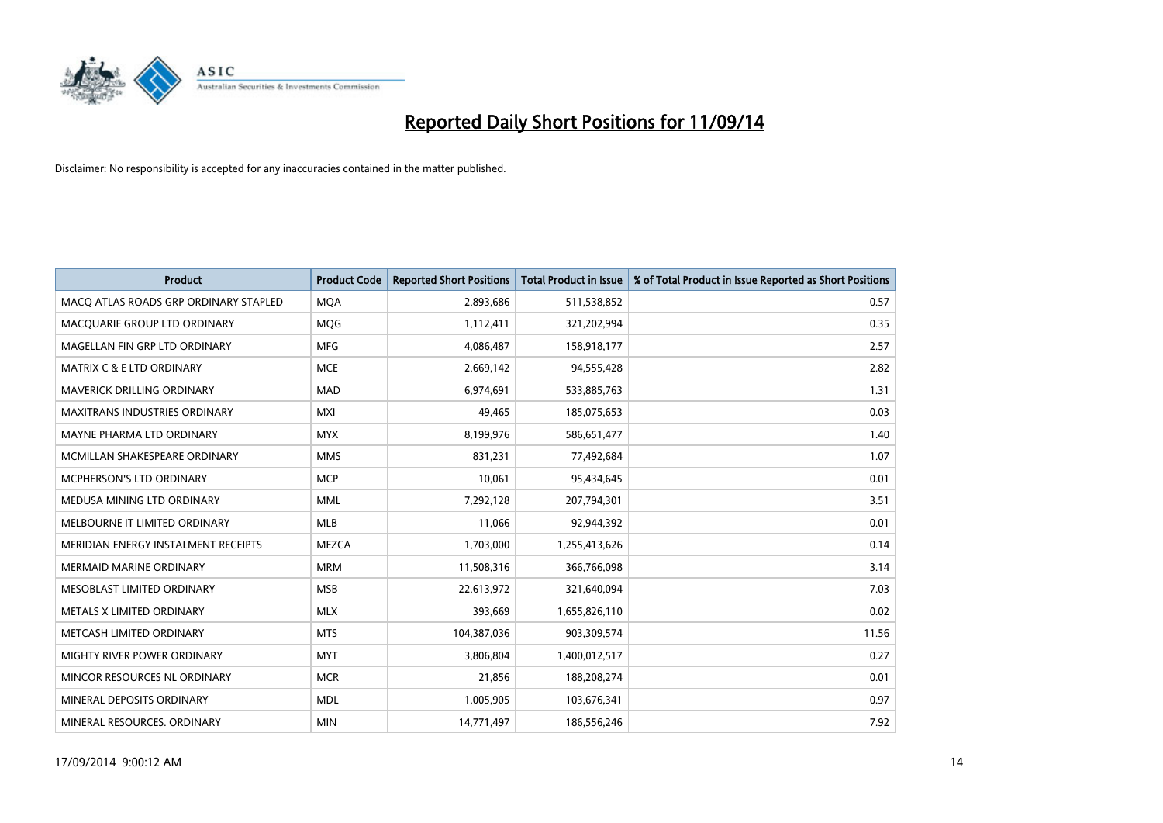

| <b>Product</b>                        | <b>Product Code</b> | <b>Reported Short Positions</b> | <b>Total Product in Issue</b> | % of Total Product in Issue Reported as Short Positions |
|---------------------------------------|---------------------|---------------------------------|-------------------------------|---------------------------------------------------------|
| MACO ATLAS ROADS GRP ORDINARY STAPLED | <b>MQA</b>          | 2,893,686                       | 511,538,852                   | 0.57                                                    |
| MACQUARIE GROUP LTD ORDINARY          | <b>MQG</b>          | 1,112,411                       | 321,202,994                   | 0.35                                                    |
| MAGELLAN FIN GRP LTD ORDINARY         | <b>MFG</b>          | 4,086,487                       | 158,918,177                   | 2.57                                                    |
| <b>MATRIX C &amp; E LTD ORDINARY</b>  | <b>MCE</b>          | 2,669,142                       | 94,555,428                    | 2.82                                                    |
| <b>MAVERICK DRILLING ORDINARY</b>     | <b>MAD</b>          | 6,974,691                       | 533,885,763                   | 1.31                                                    |
| <b>MAXITRANS INDUSTRIES ORDINARY</b>  | <b>MXI</b>          | 49,465                          | 185,075,653                   | 0.03                                                    |
| MAYNE PHARMA LTD ORDINARY             | <b>MYX</b>          | 8,199,976                       | 586,651,477                   | 1.40                                                    |
| MCMILLAN SHAKESPEARE ORDINARY         | <b>MMS</b>          | 831,231                         | 77,492,684                    | 1.07                                                    |
| <b>MCPHERSON'S LTD ORDINARY</b>       | <b>MCP</b>          | 10,061                          | 95,434,645                    | 0.01                                                    |
| MEDUSA MINING LTD ORDINARY            | <b>MML</b>          | 7,292,128                       | 207,794,301                   | 3.51                                                    |
| MELBOURNE IT LIMITED ORDINARY         | MLB                 | 11,066                          | 92,944,392                    | 0.01                                                    |
| MERIDIAN ENERGY INSTALMENT RECEIPTS   | <b>MEZCA</b>        | 1,703,000                       | 1,255,413,626                 | 0.14                                                    |
| <b>MERMAID MARINE ORDINARY</b>        | <b>MRM</b>          | 11,508,316                      | 366,766,098                   | 3.14                                                    |
| MESOBLAST LIMITED ORDINARY            | <b>MSB</b>          | 22,613,972                      | 321,640,094                   | 7.03                                                    |
| METALS X LIMITED ORDINARY             | <b>MLX</b>          | 393,669                         | 1,655,826,110                 | 0.02                                                    |
| METCASH LIMITED ORDINARY              | <b>MTS</b>          | 104,387,036                     | 903,309,574                   | 11.56                                                   |
| MIGHTY RIVER POWER ORDINARY           | <b>MYT</b>          | 3,806,804                       | 1,400,012,517                 | 0.27                                                    |
| MINCOR RESOURCES NL ORDINARY          | <b>MCR</b>          | 21,856                          | 188,208,274                   | 0.01                                                    |
| MINERAL DEPOSITS ORDINARY             | <b>MDL</b>          | 1,005,905                       | 103,676,341                   | 0.97                                                    |
| MINERAL RESOURCES, ORDINARY           | <b>MIN</b>          | 14,771,497                      | 186,556,246                   | 7.92                                                    |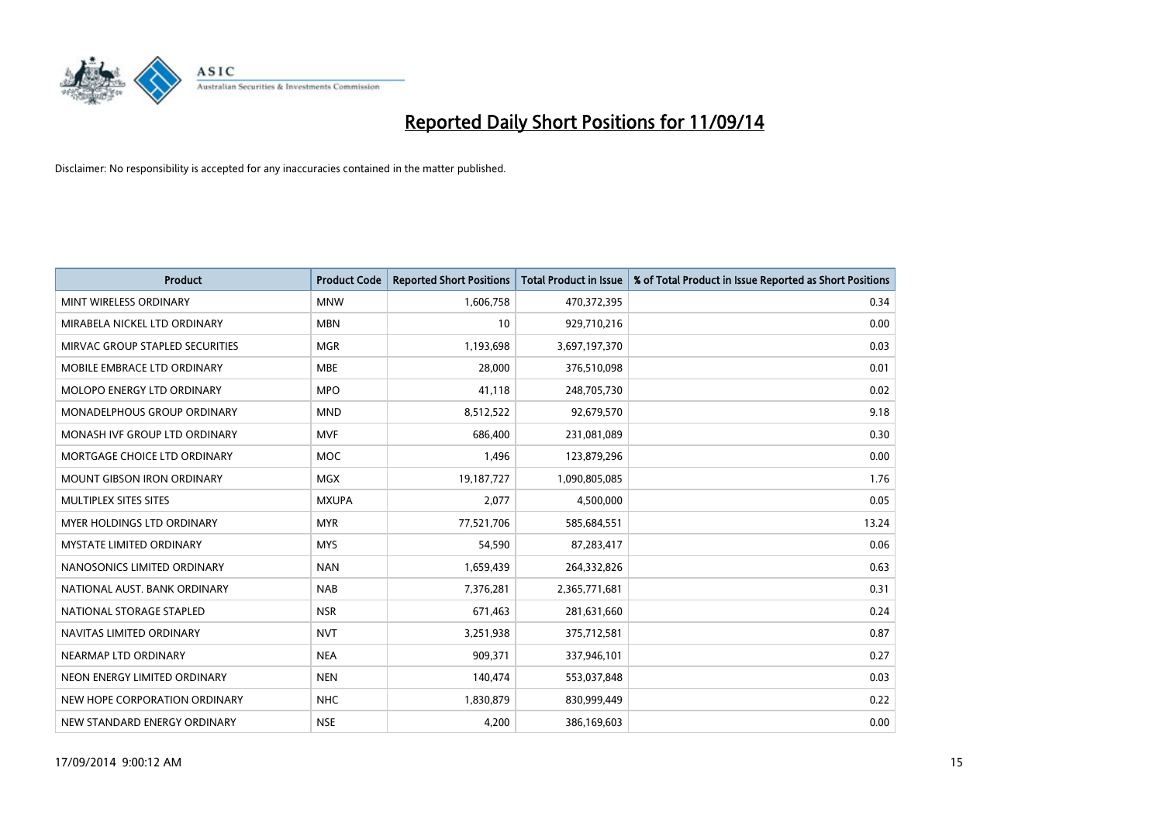

| <b>Product</b>                     | <b>Product Code</b> | <b>Reported Short Positions</b> | <b>Total Product in Issue</b> | % of Total Product in Issue Reported as Short Positions |
|------------------------------------|---------------------|---------------------------------|-------------------------------|---------------------------------------------------------|
| MINT WIRELESS ORDINARY             | <b>MNW</b>          | 1,606,758                       | 470,372,395                   | 0.34                                                    |
| MIRABELA NICKEL LTD ORDINARY       | <b>MBN</b>          | 10                              | 929,710,216                   | 0.00                                                    |
| MIRVAC GROUP STAPLED SECURITIES    | <b>MGR</b>          | 1,193,698                       | 3,697,197,370                 | 0.03                                                    |
| MOBILE EMBRACE LTD ORDINARY        | <b>MBE</b>          | 28,000                          | 376,510,098                   | 0.01                                                    |
| MOLOPO ENERGY LTD ORDINARY         | <b>MPO</b>          | 41,118                          | 248,705,730                   | 0.02                                                    |
| <b>MONADELPHOUS GROUP ORDINARY</b> | <b>MND</b>          | 8,512,522                       | 92,679,570                    | 9.18                                                    |
| MONASH IVE GROUP LTD ORDINARY      | <b>MVF</b>          | 686,400                         | 231,081,089                   | 0.30                                                    |
| MORTGAGE CHOICE LTD ORDINARY       | <b>MOC</b>          | 1,496                           | 123,879,296                   | 0.00                                                    |
| <b>MOUNT GIBSON IRON ORDINARY</b>  | <b>MGX</b>          | 19,187,727                      | 1,090,805,085                 | 1.76                                                    |
| MULTIPLEX SITES SITES              | <b>MXUPA</b>        | 2,077                           | 4,500,000                     | 0.05                                                    |
| <b>MYER HOLDINGS LTD ORDINARY</b>  | <b>MYR</b>          | 77,521,706                      | 585,684,551                   | 13.24                                                   |
| <b>MYSTATE LIMITED ORDINARY</b>    | <b>MYS</b>          | 54,590                          | 87,283,417                    | 0.06                                                    |
| NANOSONICS LIMITED ORDINARY        | <b>NAN</b>          | 1,659,439                       | 264,332,826                   | 0.63                                                    |
| NATIONAL AUST, BANK ORDINARY       | <b>NAB</b>          | 7,376,281                       | 2,365,771,681                 | 0.31                                                    |
| NATIONAL STORAGE STAPLED           | <b>NSR</b>          | 671,463                         | 281,631,660                   | 0.24                                                    |
| NAVITAS LIMITED ORDINARY           | <b>NVT</b>          | 3,251,938                       | 375,712,581                   | 0.87                                                    |
| NEARMAP LTD ORDINARY               | <b>NEA</b>          | 909,371                         | 337,946,101                   | 0.27                                                    |
| NEON ENERGY LIMITED ORDINARY       | <b>NEN</b>          | 140,474                         | 553,037,848                   | 0.03                                                    |
| NEW HOPE CORPORATION ORDINARY      | <b>NHC</b>          | 1,830,879                       | 830,999,449                   | 0.22                                                    |
| NEW STANDARD ENERGY ORDINARY       | <b>NSE</b>          | 4,200                           | 386,169,603                   | 0.00                                                    |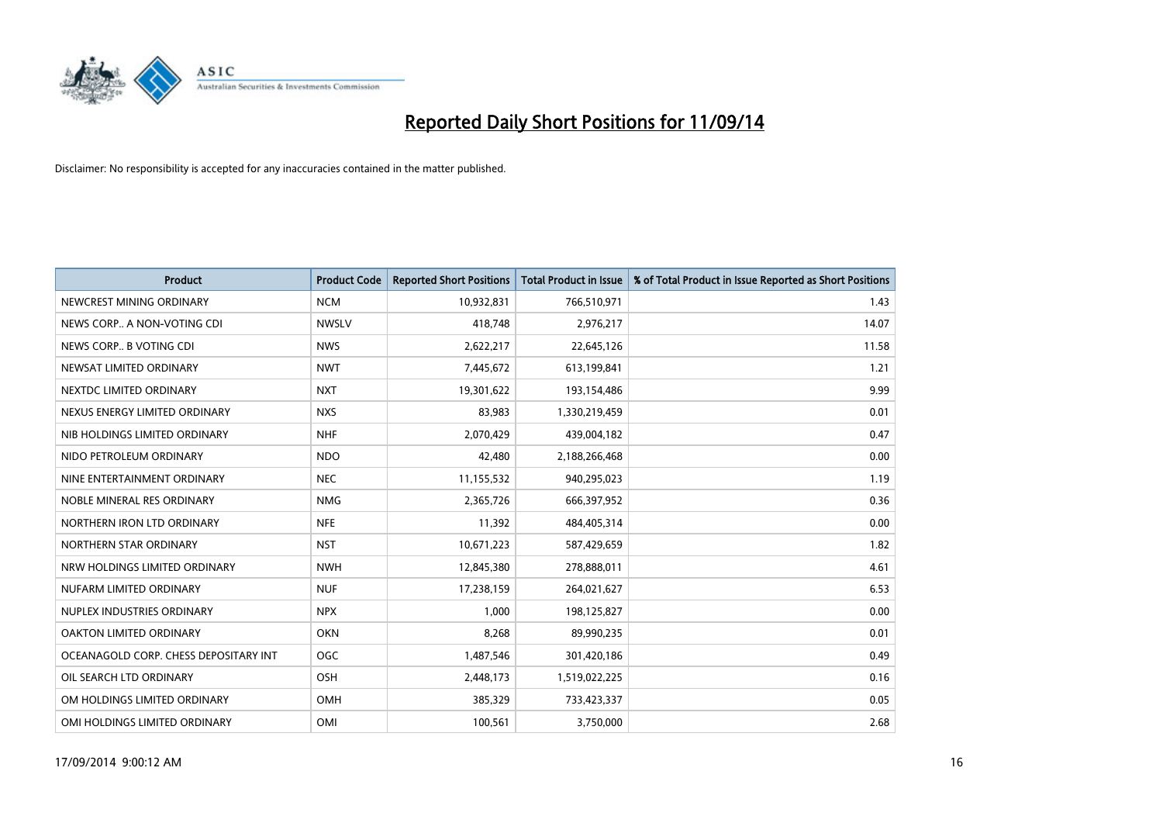

| <b>Product</b>                        | <b>Product Code</b> | <b>Reported Short Positions</b> | <b>Total Product in Issue</b> | % of Total Product in Issue Reported as Short Positions |
|---------------------------------------|---------------------|---------------------------------|-------------------------------|---------------------------------------------------------|
| NEWCREST MINING ORDINARY              | <b>NCM</b>          | 10,932,831                      | 766,510,971                   | 1.43                                                    |
| NEWS CORP A NON-VOTING CDI            | <b>NWSLV</b>        | 418,748                         | 2,976,217                     | 14.07                                                   |
| NEWS CORP B VOTING CDI                | <b>NWS</b>          | 2,622,217                       | 22,645,126                    | 11.58                                                   |
| NEWSAT LIMITED ORDINARY               | <b>NWT</b>          | 7,445,672                       | 613,199,841                   | 1.21                                                    |
| NEXTDC LIMITED ORDINARY               | <b>NXT</b>          | 19,301,622                      | 193,154,486                   | 9.99                                                    |
| NEXUS ENERGY LIMITED ORDINARY         | <b>NXS</b>          | 83,983                          | 1,330,219,459                 | 0.01                                                    |
| NIB HOLDINGS LIMITED ORDINARY         | <b>NHF</b>          | 2,070,429                       | 439,004,182                   | 0.47                                                    |
| NIDO PETROLEUM ORDINARY               | <b>NDO</b>          | 42,480                          | 2,188,266,468                 | 0.00                                                    |
| NINE ENTERTAINMENT ORDINARY           | <b>NEC</b>          | 11,155,532                      | 940,295,023                   | 1.19                                                    |
| NOBLE MINERAL RES ORDINARY            | <b>NMG</b>          | 2,365,726                       | 666,397,952                   | 0.36                                                    |
| NORTHERN IRON LTD ORDINARY            | <b>NFE</b>          | 11,392                          | 484,405,314                   | 0.00                                                    |
| NORTHERN STAR ORDINARY                | <b>NST</b>          | 10,671,223                      | 587,429,659                   | 1.82                                                    |
| NRW HOLDINGS LIMITED ORDINARY         | <b>NWH</b>          | 12,845,380                      | 278,888,011                   | 4.61                                                    |
| NUFARM LIMITED ORDINARY               | <b>NUF</b>          | 17,238,159                      | 264,021,627                   | 6.53                                                    |
| NUPLEX INDUSTRIES ORDINARY            | <b>NPX</b>          | 1,000                           | 198,125,827                   | 0.00                                                    |
| <b>OAKTON LIMITED ORDINARY</b>        | <b>OKN</b>          | 8,268                           | 89,990,235                    | 0.01                                                    |
| OCEANAGOLD CORP. CHESS DEPOSITARY INT | <b>OGC</b>          | 1,487,546                       | 301,420,186                   | 0.49                                                    |
| OIL SEARCH LTD ORDINARY               | OSH                 | 2,448,173                       | 1,519,022,225                 | 0.16                                                    |
| OM HOLDINGS LIMITED ORDINARY          | <b>OMH</b>          | 385,329                         | 733,423,337                   | 0.05                                                    |
| OMI HOLDINGS LIMITED ORDINARY         | <b>OMI</b>          | 100,561                         | 3,750,000                     | 2.68                                                    |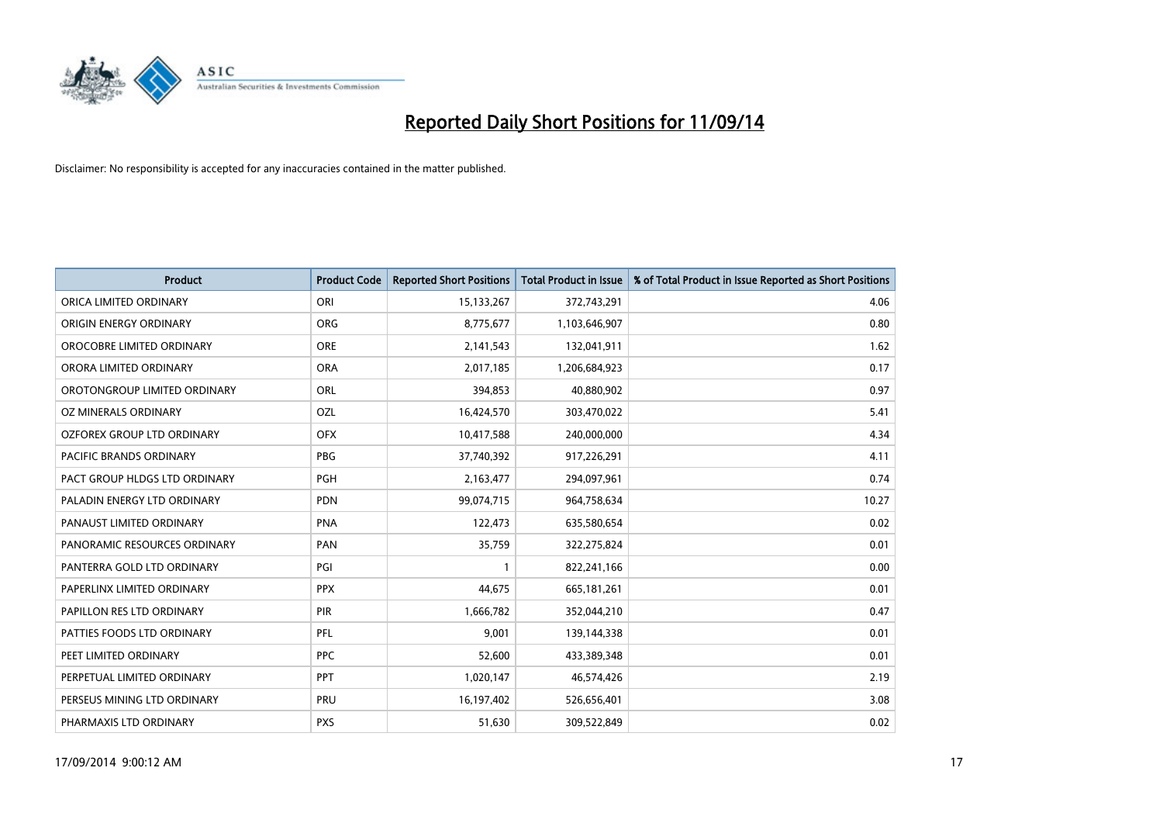

| <b>Product</b>                | <b>Product Code</b> | <b>Reported Short Positions</b> | <b>Total Product in Issue</b> | % of Total Product in Issue Reported as Short Positions |
|-------------------------------|---------------------|---------------------------------|-------------------------------|---------------------------------------------------------|
| ORICA LIMITED ORDINARY        | ORI                 | 15,133,267                      | 372,743,291                   | 4.06                                                    |
| ORIGIN ENERGY ORDINARY        | <b>ORG</b>          | 8,775,677                       | 1,103,646,907                 | 0.80                                                    |
| OROCOBRE LIMITED ORDINARY     | <b>ORE</b>          | 2,141,543                       | 132,041,911                   | 1.62                                                    |
| ORORA LIMITED ORDINARY        | <b>ORA</b>          | 2,017,185                       | 1,206,684,923                 | 0.17                                                    |
| OROTONGROUP LIMITED ORDINARY  | ORL                 | 394,853                         | 40,880,902                    | 0.97                                                    |
| <b>OZ MINERALS ORDINARY</b>   | <b>OZL</b>          | 16,424,570                      | 303,470,022                   | 5.41                                                    |
| OZFOREX GROUP LTD ORDINARY    | <b>OFX</b>          | 10,417,588                      | 240,000,000                   | 4.34                                                    |
| PACIFIC BRANDS ORDINARY       | <b>PBG</b>          | 37,740,392                      | 917,226,291                   | 4.11                                                    |
| PACT GROUP HLDGS LTD ORDINARY | <b>PGH</b>          | 2,163,477                       | 294,097,961                   | 0.74                                                    |
| PALADIN ENERGY LTD ORDINARY   | <b>PDN</b>          | 99,074,715                      | 964,758,634                   | 10.27                                                   |
| PANAUST LIMITED ORDINARY      | <b>PNA</b>          | 122,473                         | 635,580,654                   | 0.02                                                    |
| PANORAMIC RESOURCES ORDINARY  | PAN                 | 35,759                          | 322,275,824                   | 0.01                                                    |
| PANTERRA GOLD LTD ORDINARY    | PGI                 | $\mathbf{1}$                    | 822,241,166                   | 0.00                                                    |
| PAPERLINX LIMITED ORDINARY    | <b>PPX</b>          | 44,675                          | 665, 181, 261                 | 0.01                                                    |
| PAPILLON RES LTD ORDINARY     | PIR                 | 1,666,782                       | 352,044,210                   | 0.47                                                    |
| PATTIES FOODS LTD ORDINARY    | PFL                 | 9,001                           | 139,144,338                   | 0.01                                                    |
| PEET LIMITED ORDINARY         | <b>PPC</b>          | 52,600                          | 433,389,348                   | 0.01                                                    |
| PERPETUAL LIMITED ORDINARY    | PPT                 | 1,020,147                       | 46,574,426                    | 2.19                                                    |
| PERSEUS MINING LTD ORDINARY   | PRU                 | 16,197,402                      | 526,656,401                   | 3.08                                                    |
| PHARMAXIS LTD ORDINARY        | <b>PXS</b>          | 51,630                          | 309,522,849                   | 0.02                                                    |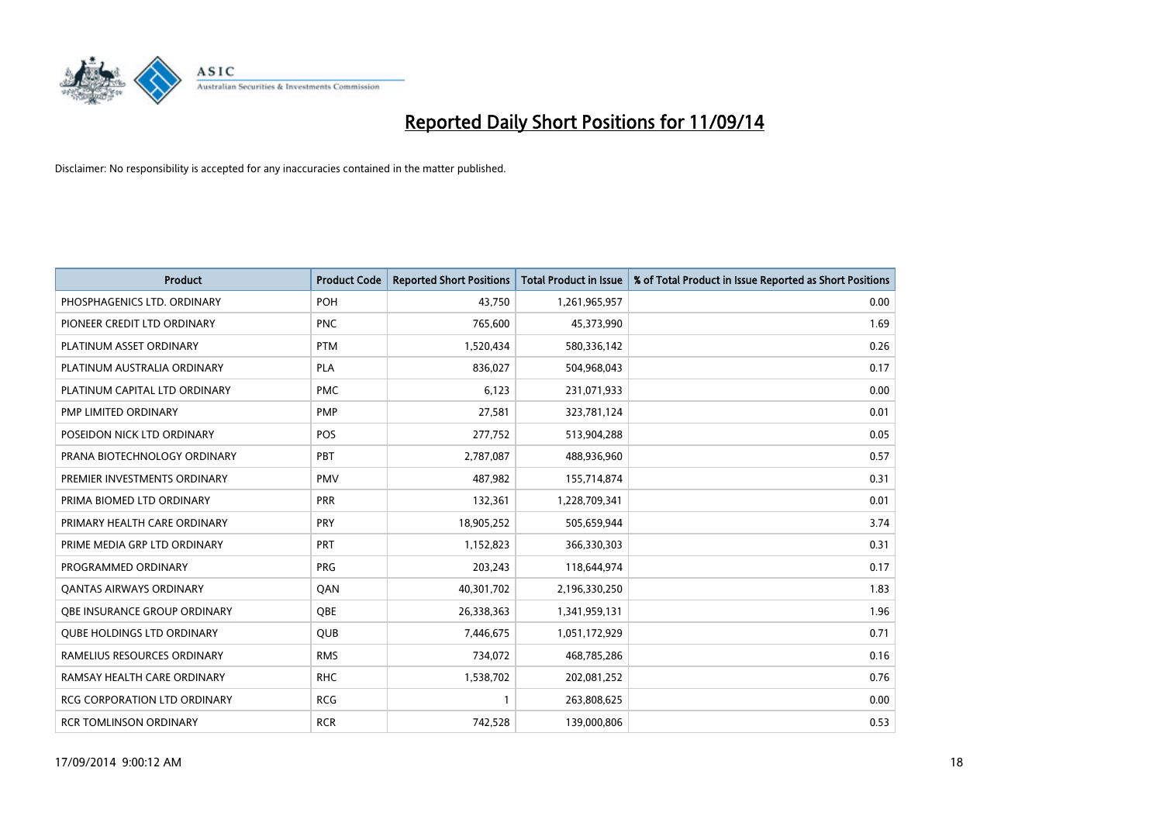

| <b>Product</b>                      | <b>Product Code</b> | <b>Reported Short Positions</b> | <b>Total Product in Issue</b> | % of Total Product in Issue Reported as Short Positions |
|-------------------------------------|---------------------|---------------------------------|-------------------------------|---------------------------------------------------------|
| PHOSPHAGENICS LTD. ORDINARY         | POH                 | 43,750                          | 1,261,965,957                 | 0.00                                                    |
| PIONEER CREDIT LTD ORDINARY         | <b>PNC</b>          | 765,600                         | 45,373,990                    | 1.69                                                    |
| PLATINUM ASSET ORDINARY             | <b>PTM</b>          | 1,520,434                       | 580,336,142                   | 0.26                                                    |
| PLATINUM AUSTRALIA ORDINARY         | PLA                 | 836,027                         | 504,968,043                   | 0.17                                                    |
| PLATINUM CAPITAL LTD ORDINARY       | <b>PMC</b>          | 6,123                           | 231,071,933                   | 0.00                                                    |
| PMP LIMITED ORDINARY                | <b>PMP</b>          | 27,581                          | 323,781,124                   | 0.01                                                    |
| POSEIDON NICK LTD ORDINARY          | <b>POS</b>          | 277,752                         | 513,904,288                   | 0.05                                                    |
| PRANA BIOTECHNOLOGY ORDINARY        | PBT                 | 2,787,087                       | 488,936,960                   | 0.57                                                    |
| PREMIER INVESTMENTS ORDINARY        | <b>PMV</b>          | 487,982                         | 155,714,874                   | 0.31                                                    |
| PRIMA BIOMED LTD ORDINARY           | <b>PRR</b>          | 132,361                         | 1,228,709,341                 | 0.01                                                    |
| PRIMARY HEALTH CARE ORDINARY        | <b>PRY</b>          | 18,905,252                      | 505,659,944                   | 3.74                                                    |
| PRIME MEDIA GRP LTD ORDINARY        | <b>PRT</b>          | 1,152,823                       | 366,330,303                   | 0.31                                                    |
| PROGRAMMED ORDINARY                 | <b>PRG</b>          | 203,243                         | 118,644,974                   | 0.17                                                    |
| OANTAS AIRWAYS ORDINARY             | QAN                 | 40,301,702                      | 2,196,330,250                 | 1.83                                                    |
| OBE INSURANCE GROUP ORDINARY        | <b>OBE</b>          | 26,338,363                      | 1,341,959,131                 | 1.96                                                    |
| <b>QUBE HOLDINGS LTD ORDINARY</b>   | QUB                 | 7,446,675                       | 1,051,172,929                 | 0.71                                                    |
| RAMELIUS RESOURCES ORDINARY         | <b>RMS</b>          | 734,072                         | 468,785,286                   | 0.16                                                    |
| RAMSAY HEALTH CARE ORDINARY         | <b>RHC</b>          | 1,538,702                       | 202,081,252                   | 0.76                                                    |
| <b>RCG CORPORATION LTD ORDINARY</b> | <b>RCG</b>          | $\mathbf{1}$                    | 263,808,625                   | 0.00                                                    |
| <b>RCR TOMLINSON ORDINARY</b>       | <b>RCR</b>          | 742,528                         | 139,000,806                   | 0.53                                                    |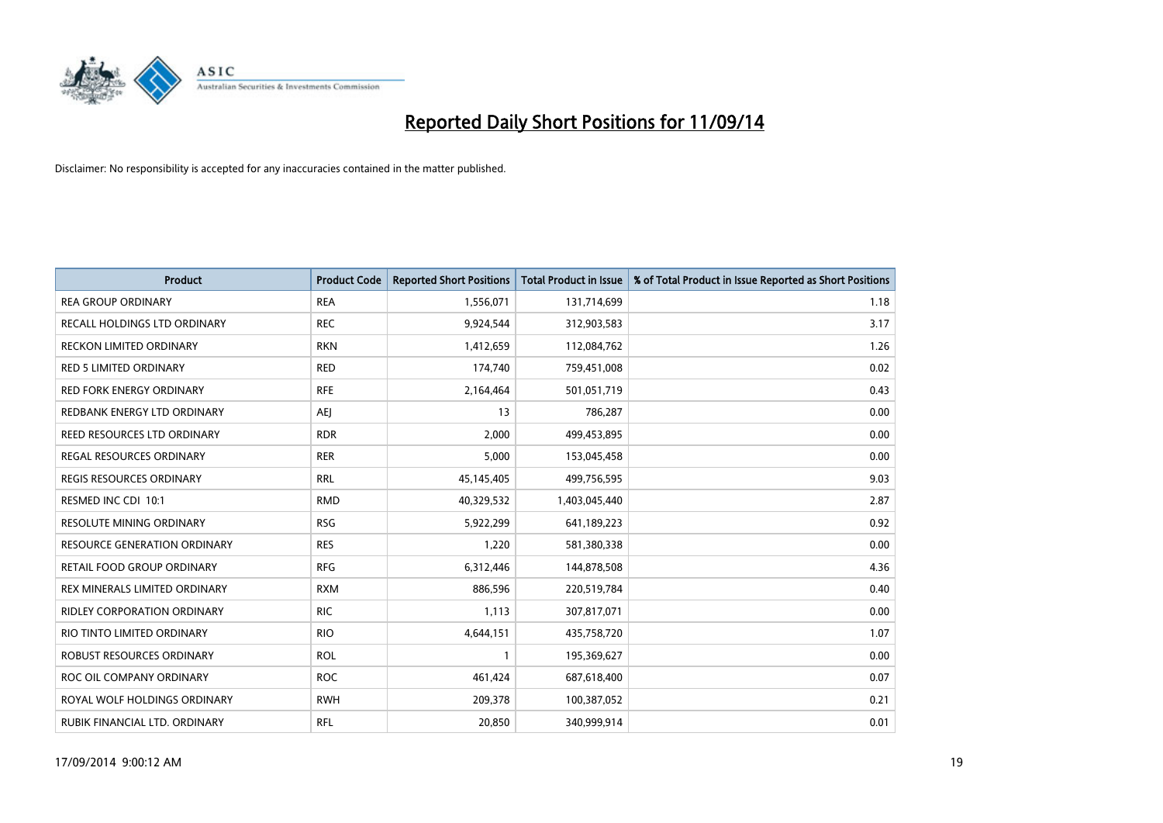

| <b>Product</b>                    | <b>Product Code</b> | <b>Reported Short Positions</b> | <b>Total Product in Issue</b> | % of Total Product in Issue Reported as Short Positions |
|-----------------------------------|---------------------|---------------------------------|-------------------------------|---------------------------------------------------------|
| <b>REA GROUP ORDINARY</b>         | <b>REA</b>          | 1,556,071                       | 131,714,699                   | 1.18                                                    |
| RECALL HOLDINGS LTD ORDINARY      | <b>REC</b>          | 9,924,544                       | 312,903,583                   | 3.17                                                    |
| <b>RECKON LIMITED ORDINARY</b>    | <b>RKN</b>          | 1,412,659                       | 112,084,762                   | 1.26                                                    |
| <b>RED 5 LIMITED ORDINARY</b>     | <b>RED</b>          | 174,740                         | 759,451,008                   | 0.02                                                    |
| <b>RED FORK ENERGY ORDINARY</b>   | <b>RFE</b>          | 2,164,464                       | 501,051,719                   | 0.43                                                    |
| REDBANK ENERGY LTD ORDINARY       | <b>AEJ</b>          | 13                              | 786,287                       | 0.00                                                    |
| REED RESOURCES LTD ORDINARY       | <b>RDR</b>          | 2,000                           | 499,453,895                   | 0.00                                                    |
| <b>REGAL RESOURCES ORDINARY</b>   | <b>RER</b>          | 5,000                           | 153,045,458                   | 0.00                                                    |
| <b>REGIS RESOURCES ORDINARY</b>   | <b>RRL</b>          | 45,145,405                      | 499,756,595                   | 9.03                                                    |
| RESMED INC CDI 10:1               | <b>RMD</b>          | 40,329,532                      | 1,403,045,440                 | 2.87                                                    |
| RESOLUTE MINING ORDINARY          | <b>RSG</b>          | 5,922,299                       | 641,189,223                   | 0.92                                                    |
| RESOURCE GENERATION ORDINARY      | <b>RES</b>          | 1,220                           | 581,380,338                   | 0.00                                                    |
| <b>RETAIL FOOD GROUP ORDINARY</b> | <b>RFG</b>          | 6,312,446                       | 144,878,508                   | 4.36                                                    |
| REX MINERALS LIMITED ORDINARY     | <b>RXM</b>          | 886,596                         | 220,519,784                   | 0.40                                                    |
| RIDLEY CORPORATION ORDINARY       | <b>RIC</b>          | 1,113                           | 307,817,071                   | 0.00                                                    |
| RIO TINTO LIMITED ORDINARY        | <b>RIO</b>          | 4,644,151                       | 435,758,720                   | 1.07                                                    |
| ROBUST RESOURCES ORDINARY         | <b>ROL</b>          | $\mathbf{1}$                    | 195,369,627                   | 0.00                                                    |
| ROC OIL COMPANY ORDINARY          | <b>ROC</b>          | 461,424                         | 687,618,400                   | 0.07                                                    |
| ROYAL WOLF HOLDINGS ORDINARY      | <b>RWH</b>          | 209,378                         | 100,387,052                   | 0.21                                                    |
| RUBIK FINANCIAL LTD. ORDINARY     | RFL                 | 20,850                          | 340,999,914                   | 0.01                                                    |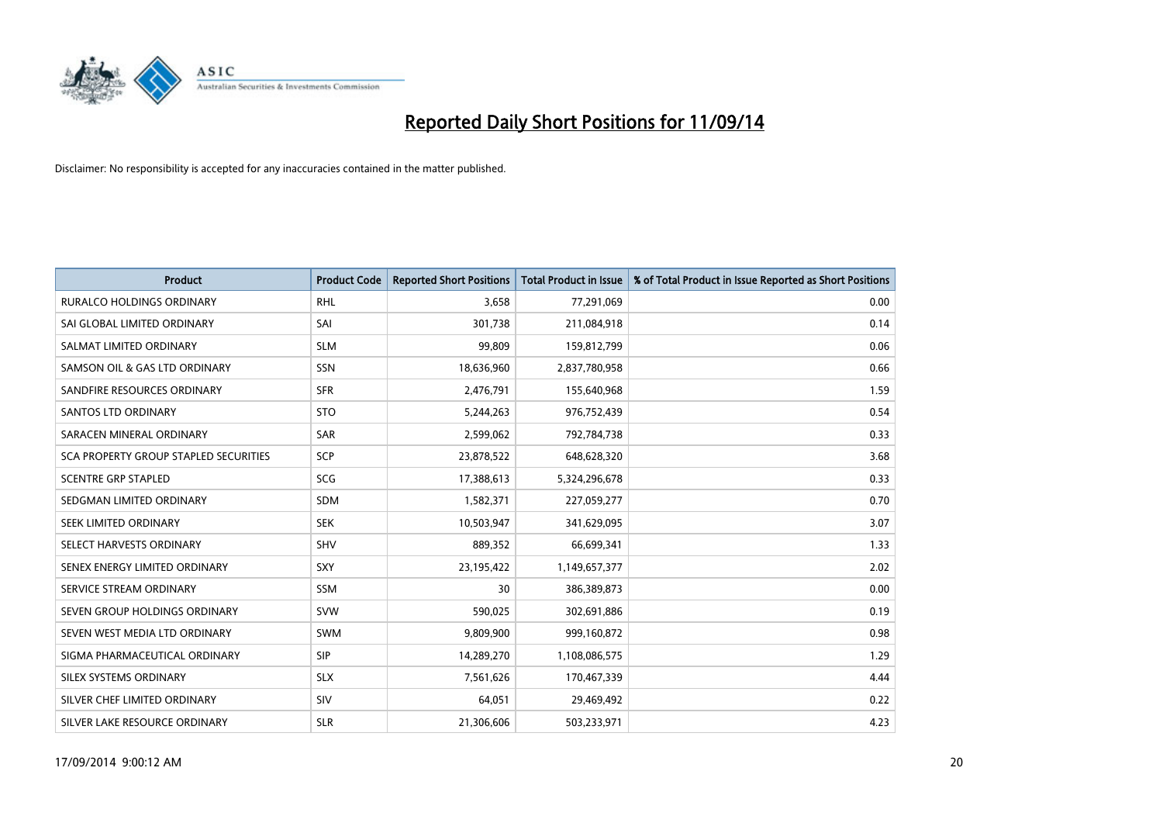

| <b>Product</b>                               | <b>Product Code</b> | <b>Reported Short Positions</b> | <b>Total Product in Issue</b> | % of Total Product in Issue Reported as Short Positions |
|----------------------------------------------|---------------------|---------------------------------|-------------------------------|---------------------------------------------------------|
| <b>RURALCO HOLDINGS ORDINARY</b>             | <b>RHL</b>          | 3,658                           | 77,291,069                    | 0.00                                                    |
| SAI GLOBAL LIMITED ORDINARY                  | SAI                 | 301,738                         | 211,084,918                   | 0.14                                                    |
| SALMAT LIMITED ORDINARY                      | <b>SLM</b>          | 99,809                          | 159,812,799                   | 0.06                                                    |
| SAMSON OIL & GAS LTD ORDINARY                | SSN                 | 18,636,960                      | 2,837,780,958                 | 0.66                                                    |
| SANDFIRE RESOURCES ORDINARY                  | <b>SFR</b>          | 2,476,791                       | 155,640,968                   | 1.59                                                    |
| SANTOS LTD ORDINARY                          | <b>STO</b>          | 5,244,263                       | 976,752,439                   | 0.54                                                    |
| SARACEN MINERAL ORDINARY                     | SAR                 | 2,599,062                       | 792,784,738                   | 0.33                                                    |
| <b>SCA PROPERTY GROUP STAPLED SECURITIES</b> | SCP                 | 23,878,522                      | 648,628,320                   | 3.68                                                    |
| <b>SCENTRE GRP STAPLED</b>                   | SCG                 | 17,388,613                      | 5,324,296,678                 | 0.33                                                    |
| SEDGMAN LIMITED ORDINARY                     | <b>SDM</b>          | 1,582,371                       | 227,059,277                   | 0.70                                                    |
| SEEK LIMITED ORDINARY                        | <b>SEK</b>          | 10,503,947                      | 341,629,095                   | 3.07                                                    |
| SELECT HARVESTS ORDINARY                     | SHV                 | 889,352                         | 66,699,341                    | 1.33                                                    |
| SENEX ENERGY LIMITED ORDINARY                | <b>SXY</b>          | 23,195,422                      | 1,149,657,377                 | 2.02                                                    |
| SERVICE STREAM ORDINARY                      | <b>SSM</b>          | 30                              | 386,389,873                   | 0.00                                                    |
| SEVEN GROUP HOLDINGS ORDINARY                | <b>SVW</b>          | 590,025                         | 302,691,886                   | 0.19                                                    |
| SEVEN WEST MEDIA LTD ORDINARY                | SWM                 | 9,809,900                       | 999,160,872                   | 0.98                                                    |
| SIGMA PHARMACEUTICAL ORDINARY                | <b>SIP</b>          | 14,289,270                      | 1,108,086,575                 | 1.29                                                    |
| SILEX SYSTEMS ORDINARY                       | <b>SLX</b>          | 7,561,626                       | 170,467,339                   | 4.44                                                    |
| SILVER CHEF LIMITED ORDINARY                 | SIV                 | 64,051                          | 29,469,492                    | 0.22                                                    |
| SILVER LAKE RESOURCE ORDINARY                | <b>SLR</b>          | 21,306,606                      | 503,233,971                   | 4.23                                                    |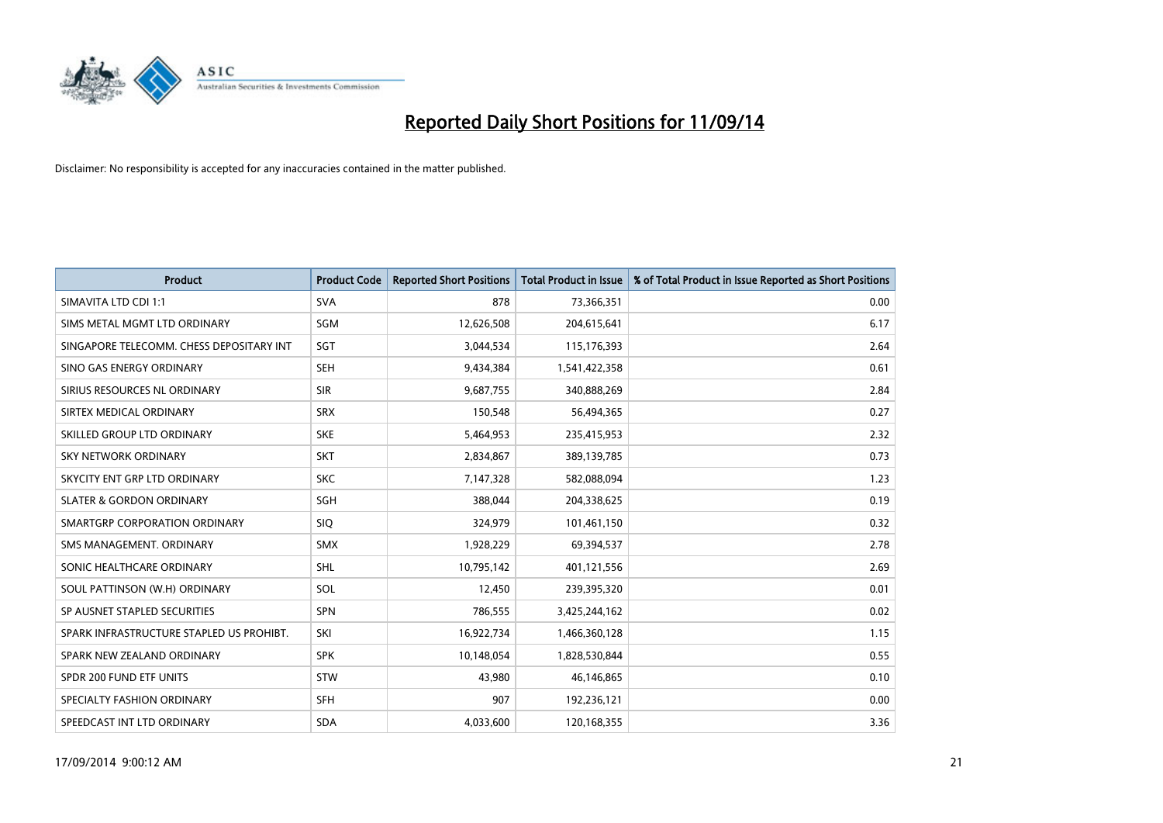

| <b>Product</b>                           | <b>Product Code</b> | <b>Reported Short Positions</b> | <b>Total Product in Issue</b> | % of Total Product in Issue Reported as Short Positions |
|------------------------------------------|---------------------|---------------------------------|-------------------------------|---------------------------------------------------------|
| SIMAVITA LTD CDI 1:1                     | <b>SVA</b>          | 878                             | 73,366,351                    | 0.00                                                    |
| SIMS METAL MGMT LTD ORDINARY             | SGM                 | 12,626,508                      | 204,615,641                   | 6.17                                                    |
| SINGAPORE TELECOMM. CHESS DEPOSITARY INT | <b>SGT</b>          | 3,044,534                       | 115,176,393                   | 2.64                                                    |
| SINO GAS ENERGY ORDINARY                 | <b>SEH</b>          | 9,434,384                       | 1,541,422,358                 | 0.61                                                    |
| SIRIUS RESOURCES NL ORDINARY             | <b>SIR</b>          | 9,687,755                       | 340,888,269                   | 2.84                                                    |
| SIRTEX MEDICAL ORDINARY                  | <b>SRX</b>          | 150,548                         | 56,494,365                    | 0.27                                                    |
| SKILLED GROUP LTD ORDINARY               | <b>SKE</b>          | 5,464,953                       | 235,415,953                   | 2.32                                                    |
| SKY NETWORK ORDINARY                     | <b>SKT</b>          | 2,834,867                       | 389,139,785                   | 0.73                                                    |
| SKYCITY ENT GRP LTD ORDINARY             | <b>SKC</b>          | 7,147,328                       | 582,088,094                   | 1.23                                                    |
| <b>SLATER &amp; GORDON ORDINARY</b>      | SGH                 | 388,044                         | 204,338,625                   | 0.19                                                    |
| SMARTGRP CORPORATION ORDINARY            | <b>SIQ</b>          | 324,979                         | 101,461,150                   | 0.32                                                    |
| SMS MANAGEMENT, ORDINARY                 | <b>SMX</b>          | 1,928,229                       | 69,394,537                    | 2.78                                                    |
| SONIC HEALTHCARE ORDINARY                | <b>SHL</b>          | 10,795,142                      | 401,121,556                   | 2.69                                                    |
| SOUL PATTINSON (W.H) ORDINARY            | SOL                 | 12,450                          | 239,395,320                   | 0.01                                                    |
| SP AUSNET STAPLED SECURITIES             | <b>SPN</b>          | 786,555                         | 3,425,244,162                 | 0.02                                                    |
| SPARK INFRASTRUCTURE STAPLED US PROHIBT. | SKI                 | 16,922,734                      | 1,466,360,128                 | 1.15                                                    |
| SPARK NEW ZEALAND ORDINARY               | <b>SPK</b>          | 10,148,054                      | 1,828,530,844                 | 0.55                                                    |
| SPDR 200 FUND ETF UNITS                  | <b>STW</b>          | 43,980                          | 46,146,865                    | 0.10                                                    |
| SPECIALTY FASHION ORDINARY               | <b>SFH</b>          | 907                             | 192,236,121                   | 0.00                                                    |
| SPEEDCAST INT LTD ORDINARY               | <b>SDA</b>          | 4,033,600                       | 120,168,355                   | 3.36                                                    |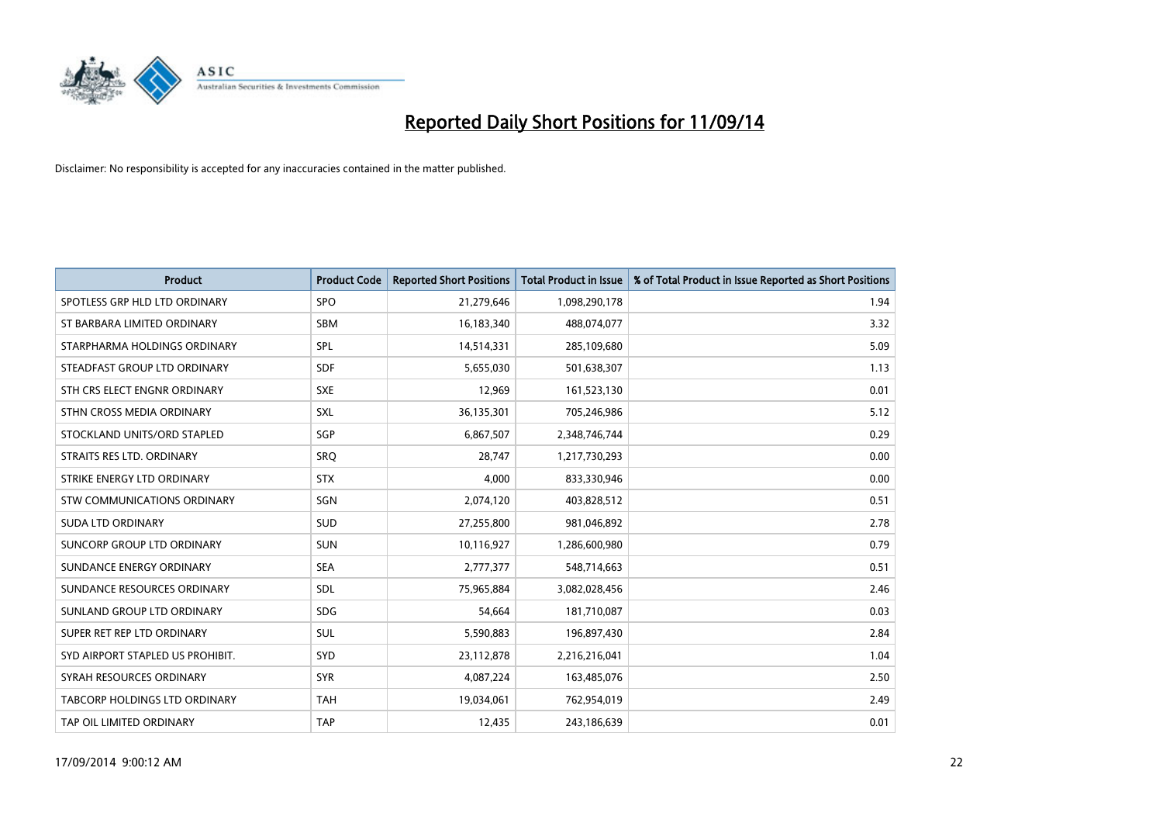

| <b>Product</b>                   | <b>Product Code</b> | <b>Reported Short Positions</b> | <b>Total Product in Issue</b> | % of Total Product in Issue Reported as Short Positions |
|----------------------------------|---------------------|---------------------------------|-------------------------------|---------------------------------------------------------|
| SPOTLESS GRP HLD LTD ORDINARY    | <b>SPO</b>          | 21,279,646                      | 1,098,290,178                 | 1.94                                                    |
| ST BARBARA LIMITED ORDINARY      | <b>SBM</b>          | 16,183,340                      | 488,074,077                   | 3.32                                                    |
| STARPHARMA HOLDINGS ORDINARY     | <b>SPL</b>          | 14,514,331                      | 285,109,680                   | 5.09                                                    |
| STEADFAST GROUP LTD ORDINARY     | <b>SDF</b>          | 5,655,030                       | 501,638,307                   | 1.13                                                    |
| STH CRS ELECT ENGNR ORDINARY     | <b>SXE</b>          | 12,969                          | 161,523,130                   | 0.01                                                    |
| STHN CROSS MEDIA ORDINARY        | <b>SXL</b>          | 36,135,301                      | 705,246,986                   | 5.12                                                    |
| STOCKLAND UNITS/ORD STAPLED      | <b>SGP</b>          | 6,867,507                       | 2,348,746,744                 | 0.29                                                    |
| STRAITS RES LTD. ORDINARY        | SRO                 | 28,747                          | 1,217,730,293                 | 0.00                                                    |
| STRIKE ENERGY LTD ORDINARY       | <b>STX</b>          | 4,000                           | 833,330,946                   | 0.00                                                    |
| STW COMMUNICATIONS ORDINARY      | SGN                 | 2,074,120                       | 403,828,512                   | 0.51                                                    |
| <b>SUDA LTD ORDINARY</b>         | SUD                 | 27,255,800                      | 981,046,892                   | 2.78                                                    |
| SUNCORP GROUP LTD ORDINARY       | <b>SUN</b>          | 10,116,927                      | 1,286,600,980                 | 0.79                                                    |
| SUNDANCE ENERGY ORDINARY         | <b>SEA</b>          | 2,777,377                       | 548,714,663                   | 0.51                                                    |
| SUNDANCE RESOURCES ORDINARY      | SDL                 | 75,965,884                      | 3,082,028,456                 | 2.46                                                    |
| SUNLAND GROUP LTD ORDINARY       | <b>SDG</b>          | 54,664                          | 181,710,087                   | 0.03                                                    |
| SUPER RET REP LTD ORDINARY       | SUL                 | 5,590,883                       | 196,897,430                   | 2.84                                                    |
| SYD AIRPORT STAPLED US PROHIBIT. | SYD                 | 23,112,878                      | 2,216,216,041                 | 1.04                                                    |
| SYRAH RESOURCES ORDINARY         | <b>SYR</b>          | 4,087,224                       | 163,485,076                   | 2.50                                                    |
| TABCORP HOLDINGS LTD ORDINARY    | <b>TAH</b>          | 19,034,061                      | 762,954,019                   | 2.49                                                    |
| TAP OIL LIMITED ORDINARY         | <b>TAP</b>          | 12,435                          | 243,186,639                   | 0.01                                                    |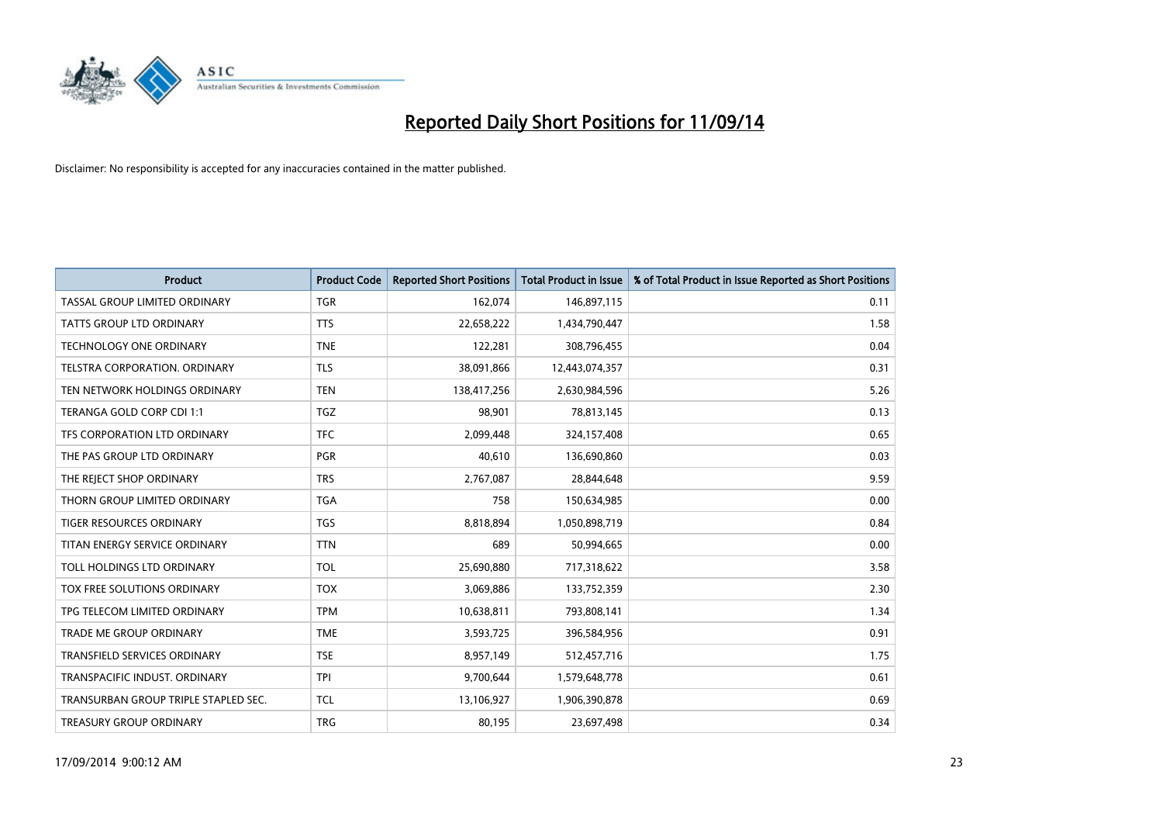

| Product                              | <b>Product Code</b> | <b>Reported Short Positions</b> | <b>Total Product in Issue</b> | % of Total Product in Issue Reported as Short Positions |
|--------------------------------------|---------------------|---------------------------------|-------------------------------|---------------------------------------------------------|
| TASSAL GROUP LIMITED ORDINARY        | <b>TGR</b>          | 162,074                         | 146,897,115                   | 0.11                                                    |
| TATTS GROUP LTD ORDINARY             | <b>TTS</b>          | 22,658,222                      | 1,434,790,447                 | 1.58                                                    |
| <b>TECHNOLOGY ONE ORDINARY</b>       | <b>TNE</b>          | 122,281                         | 308,796,455                   | 0.04                                                    |
| TELSTRA CORPORATION. ORDINARY        | <b>TLS</b>          | 38,091,866                      | 12,443,074,357                | 0.31                                                    |
| TEN NETWORK HOLDINGS ORDINARY        | <b>TEN</b>          | 138,417,256                     | 2,630,984,596                 | 5.26                                                    |
| TERANGA GOLD CORP CDI 1:1            | <b>TGZ</b>          | 98,901                          | 78,813,145                    | 0.13                                                    |
| TFS CORPORATION LTD ORDINARY         | <b>TFC</b>          | 2,099,448                       | 324,157,408                   | 0.65                                                    |
| THE PAS GROUP LTD ORDINARY           | <b>PGR</b>          | 40,610                          | 136,690,860                   | 0.03                                                    |
| THE REJECT SHOP ORDINARY             | <b>TRS</b>          | 2,767,087                       | 28,844,648                    | 9.59                                                    |
| THORN GROUP LIMITED ORDINARY         | <b>TGA</b>          | 758                             | 150,634,985                   | 0.00                                                    |
| TIGER RESOURCES ORDINARY             | <b>TGS</b>          | 8,818,894                       | 1,050,898,719                 | 0.84                                                    |
| TITAN ENERGY SERVICE ORDINARY        | <b>TTN</b>          | 689                             | 50,994,665                    | 0.00                                                    |
| TOLL HOLDINGS LTD ORDINARY           | <b>TOL</b>          | 25,690,880                      | 717,318,622                   | 3.58                                                    |
| TOX FREE SOLUTIONS ORDINARY          | <b>TOX</b>          | 3,069,886                       | 133,752,359                   | 2.30                                                    |
| TPG TELECOM LIMITED ORDINARY         | <b>TPM</b>          | 10,638,811                      | 793,808,141                   | 1.34                                                    |
| TRADE ME GROUP ORDINARY              | <b>TME</b>          | 3,593,725                       | 396,584,956                   | 0.91                                                    |
| TRANSFIELD SERVICES ORDINARY         | <b>TSE</b>          | 8,957,149                       | 512,457,716                   | 1.75                                                    |
| TRANSPACIFIC INDUST. ORDINARY        | <b>TPI</b>          | 9,700,644                       | 1,579,648,778                 | 0.61                                                    |
| TRANSURBAN GROUP TRIPLE STAPLED SEC. | <b>TCL</b>          | 13,106,927                      | 1,906,390,878                 | 0.69                                                    |
| TREASURY GROUP ORDINARY              | <b>TRG</b>          | 80,195                          | 23,697,498                    | 0.34                                                    |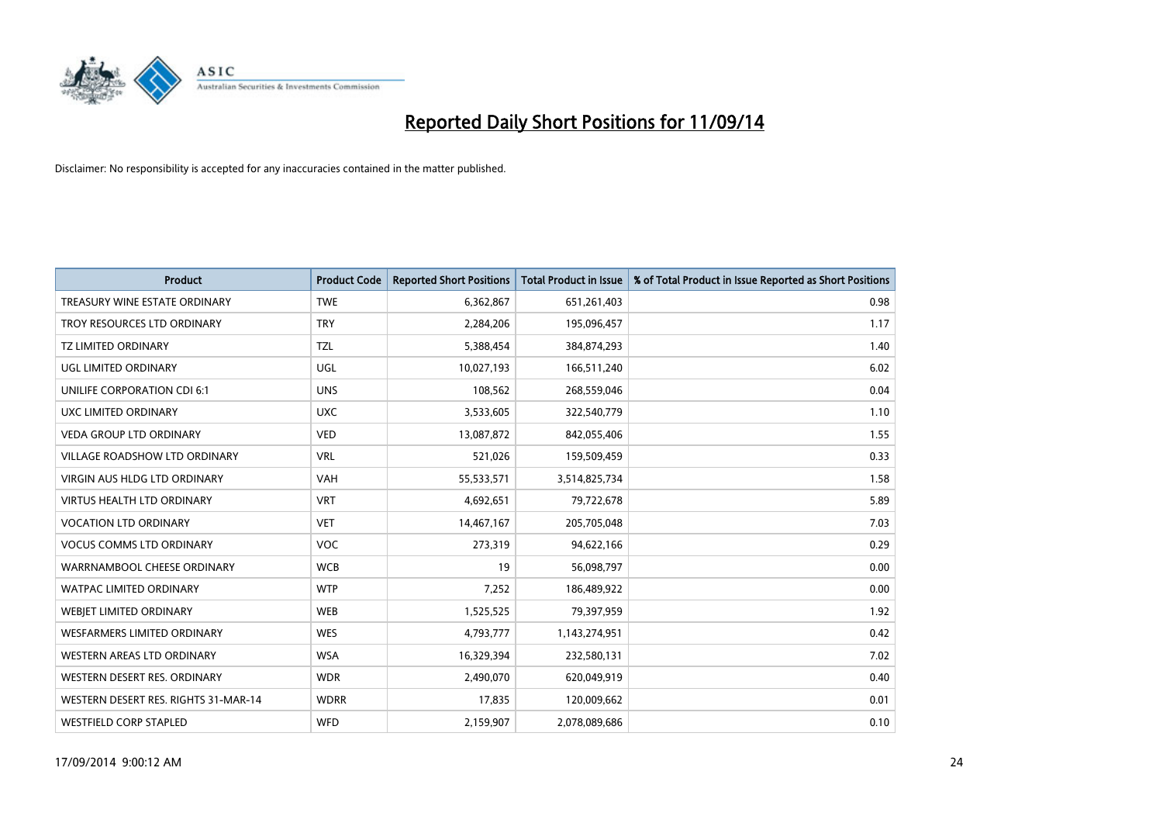

| <b>Product</b>                       | <b>Product Code</b> | <b>Reported Short Positions</b> | <b>Total Product in Issue</b> | % of Total Product in Issue Reported as Short Positions |
|--------------------------------------|---------------------|---------------------------------|-------------------------------|---------------------------------------------------------|
| TREASURY WINE ESTATE ORDINARY        | <b>TWE</b>          | 6,362,867                       | 651,261,403                   | 0.98                                                    |
| TROY RESOURCES LTD ORDINARY          | <b>TRY</b>          | 2,284,206                       | 195,096,457                   | 1.17                                                    |
| <b>TZ LIMITED ORDINARY</b>           | <b>TZL</b>          | 5,388,454                       | 384,874,293                   | 1.40                                                    |
| <b>UGL LIMITED ORDINARY</b>          | UGL                 | 10,027,193                      | 166,511,240                   | 6.02                                                    |
| UNILIFE CORPORATION CDI 6:1          | <b>UNS</b>          | 108,562                         | 268,559,046                   | 0.04                                                    |
| UXC LIMITED ORDINARY                 | <b>UXC</b>          | 3,533,605                       | 322,540,779                   | 1.10                                                    |
| <b>VEDA GROUP LTD ORDINARY</b>       | <b>VED</b>          | 13,087,872                      | 842,055,406                   | 1.55                                                    |
| VILLAGE ROADSHOW LTD ORDINARY        | <b>VRL</b>          | 521,026                         | 159,509,459                   | 0.33                                                    |
| VIRGIN AUS HLDG LTD ORDINARY         | <b>VAH</b>          | 55,533,571                      | 3,514,825,734                 | 1.58                                                    |
| <b>VIRTUS HEALTH LTD ORDINARY</b>    | <b>VRT</b>          | 4,692,651                       | 79,722,678                    | 5.89                                                    |
| <b>VOCATION LTD ORDINARY</b>         | <b>VET</b>          | 14,467,167                      | 205,705,048                   | 7.03                                                    |
| <b>VOCUS COMMS LTD ORDINARY</b>      | <b>VOC</b>          | 273,319                         | 94,622,166                    | 0.29                                                    |
| WARRNAMBOOL CHEESE ORDINARY          | <b>WCB</b>          | 19                              | 56,098,797                    | 0.00                                                    |
| <b>WATPAC LIMITED ORDINARY</b>       | <b>WTP</b>          | 7,252                           | 186,489,922                   | 0.00                                                    |
| WEBJET LIMITED ORDINARY              | <b>WEB</b>          | 1,525,525                       | 79,397,959                    | 1.92                                                    |
| <b>WESFARMERS LIMITED ORDINARY</b>   | <b>WES</b>          | 4,793,777                       | 1,143,274,951                 | 0.42                                                    |
| WESTERN AREAS LTD ORDINARY           | <b>WSA</b>          | 16,329,394                      | 232,580,131                   | 7.02                                                    |
| WESTERN DESERT RES. ORDINARY         | <b>WDR</b>          | 2,490,070                       | 620,049,919                   | 0.40                                                    |
| WESTERN DESERT RES. RIGHTS 31-MAR-14 | <b>WDRR</b>         | 17,835                          | 120,009,662                   | 0.01                                                    |
| <b>WESTFIELD CORP STAPLED</b>        | <b>WFD</b>          | 2,159,907                       | 2,078,089,686                 | 0.10                                                    |